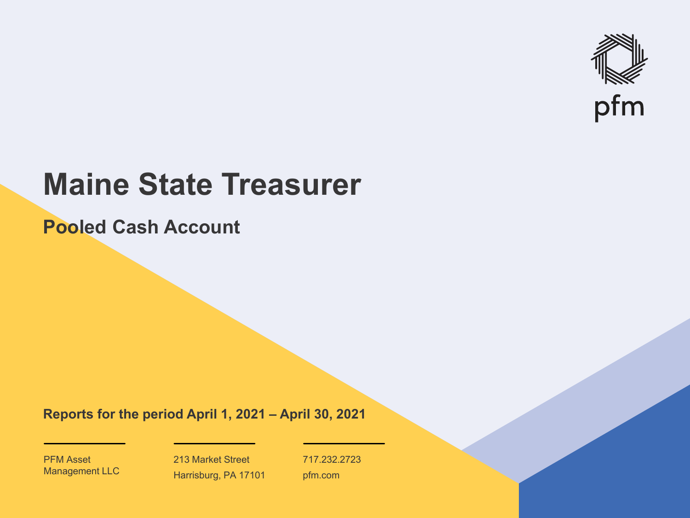

# **Maine State Treasurer**

**Pooled Cash Account**

**Reports for the period April 1, 2021 – April 30, 2021**

PFM Asset Management LLC

213 Market Street Harrisburg, PA 17101 717.232.2723 pfm.com

 $\mathcal{P}_\text{max}$  and  $\mathcal{P}_\text{max}$  is the probability of  $\mathcal{P}_\text{max}$  and  $\mathcal{P}_\text{max}$  and  $\mathcal{P}_\text{max}$  and  $\mathcal{P}_\text{max}$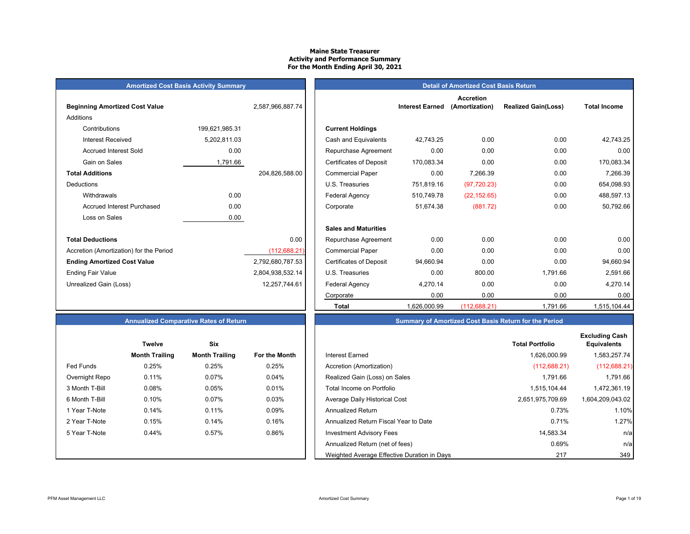## **Maine State Treasurer Activity and Performance Summary For the Month Ending April 30, 2021**

# **Amortized Cost Basis Activity Summary**<br> **Amortized Cost Basis Return**

| <b>Beginning Amortized Cost Value</b>   |                | 2,587,966,887.74 | <b>Interest Earned</b>                       |
|-----------------------------------------|----------------|------------------|----------------------------------------------|
| Additions                               |                |                  |                                              |
| Contributions                           | 199,621,985.31 |                  | <b>Current Holdings</b>                      |
| Interest Received                       | 5,202,811.03   |                  | Cash and Equivalents<br>42,743.25            |
| <b>Accrued Interest Sold</b>            | 0.00           |                  | 0.00<br>Repurchase Agreement                 |
| Gain on Sales                           | 1,791.66       |                  | 170,083.34<br><b>Certificates of Deposit</b> |
| <b>Total Additions</b>                  |                | 204,826,588.00   | 0.00<br><b>Commercial Paper</b>              |
| Deductions                              |                |                  | 751,819.16<br>U.S. Treasuries                |
| Withdrawals                             | 0.00           |                  | Federal Agency<br>510,749.78                 |
| <b>Accrued Interest Purchased</b>       | 0.00           |                  | 51,674.38<br>Corporate                       |
| Loss on Sales                           | 0.00           |                  |                                              |
|                                         |                |                  | <b>Sales and Maturities</b>                  |
| <b>Total Deductions</b>                 |                | 0.00             | 0.00<br>Repurchase Agreement                 |
| Accretion (Amortization) for the Period |                | (112,688.21)     | 0.00<br><b>Commercial Paper</b>              |
| <b>Ending Amortized Cost Value</b>      |                | 2,792,680,787.53 | <b>Certificates of Deposit</b><br>94,660.94  |
| <b>Ending Fair Value</b>                |                | 2,804,938,532.14 | 0.00<br>U.S. Treasuries                      |
| Unrealized Gain (Loss)                  |                | 12,257,744.61    | <b>Federal Agency</b><br>4,270.14            |
|                                         |                |                  |                                              |

|                                         |                |                  |                                |                        | <b>Accretion</b> |                            |                     |  |
|-----------------------------------------|----------------|------------------|--------------------------------|------------------------|------------------|----------------------------|---------------------|--|
| <b>Beginning Amortized Cost Value</b>   |                | 2,587,966,887.74 |                                | <b>Interest Earned</b> | (Amortization)   | <b>Realized Gain(Loss)</b> | <b>Total Income</b> |  |
| Additions                               |                |                  |                                |                        |                  |                            |                     |  |
| Contributions                           | 199,621,985.31 |                  | <b>Current Holdings</b>        |                        |                  |                            |                     |  |
| <b>Interest Received</b>                | 5,202,811.03   |                  | Cash and Equivalents           | 42,743.25              | 0.00             | 0.00                       | 42,743.25           |  |
| <b>Accrued Interest Sold</b>            | 0.00           |                  | Repurchase Agreement           | 0.00                   | 0.00             | 0.00                       | 0.00                |  |
| Gain on Sales                           | 1,791.66       |                  | <b>Certificates of Deposit</b> | 170,083.34             | 0.00             | 0.00                       | 170,083.34          |  |
| <b>Total Additions</b>                  |                | 204,826,588.00   | <b>Commercial Paper</b>        | 0.00                   | 7,266.39         | 0.00                       | 7,266.39            |  |
| Deductions                              |                |                  | U.S. Treasuries                | 751,819.16             | (97, 720.23)     | 0.00                       | 654,098.93          |  |
| Withdrawals                             | 0.00           |                  | Federal Agency                 | 510,749.78             | (22, 152.65)     | 0.00                       | 488,597.13          |  |
| <b>Accrued Interest Purchased</b>       | 0.00           |                  | Corporate                      | 51,674.38              | (881.72)         | 0.00                       | 50,792.66           |  |
| Loss on Sales                           | 0.00           |                  |                                |                        |                  |                            |                     |  |
|                                         |                |                  | <b>Sales and Maturities</b>    |                        |                  |                            |                     |  |
| <b>Total Deductions</b>                 |                | 0.00             | Repurchase Agreement           | 0.00                   | 0.00             | 0.00                       | 0.00                |  |
| Accretion (Amortization) for the Period |                | (112, 688.21)    | <b>Commercial Paper</b>        | 0.00                   | 0.00             | 0.00                       | 0.00                |  |
| <b>Ending Amortized Cost Value</b>      |                | 2,792,680,787.53 | <b>Certificates of Deposit</b> | 94,660.94              | 0.00             | 0.00                       | 94,660.94           |  |
| Ending Fair Value                       |                | 2,804,938,532.14 | U.S. Treasuries                | 0.00                   | 800.00           | 1,791.66                   | 2,591.66            |  |
| Unrealized Gain (Loss)                  |                | 12,257,744.61    | Federal Agency                 | 4,270.14               | 0.00             | 0.00                       | 4,270.14            |  |
|                                         |                |                  | Corporate                      | 0.00                   | 0.00             | 0.00                       | 0.00                |  |
|                                         |                |                  | Total                          | 1,626,000.99           | (112, 688.21)    | 1,791.66                   | 1,515,104.44        |  |

# **Annualized Comparative Rates of Return**

|                | <b>Twelve</b>         | Six                   |               |
|----------------|-----------------------|-----------------------|---------------|
|                | <b>Month Trailing</b> | <b>Month Trailing</b> | For the Month |
| Fed Funds      | 0.25%                 | 0.25%                 | 0.25%         |
| Overnight Repo | 0.11%                 | 0.07%                 | 0.04%         |
| 3 Month T-Bill | 0.08%                 | 0.05%                 | 0.01%         |
| 6 Month T-Bill | 0.10%                 | 0.07%                 | 0.03%         |
| 1 Year T-Note  | 0.14%                 | 0.11%                 | 0.09%         |
| 2 Year T-Note  | 0.15%                 | 0.14%                 | 0.16%         |
| 5 Year T-Note  | 0.44%                 | 0.57%                 | 0.86%         |
|                |                       |                       |               |
|                |                       |                       |               |

|  |  | <b>Summary of Amortized Cost Basis Return for the Period</b> |  |  |
|--|--|--------------------------------------------------------------|--|--|
|--|--|--------------------------------------------------------------|--|--|

|                | <b>Twelve</b>         | Six                   |               |                                             | <b>Total Portfolio</b> | <b>Excluding Cash</b><br><b>Equivalents</b> |
|----------------|-----------------------|-----------------------|---------------|---------------------------------------------|------------------------|---------------------------------------------|
|                | <b>Month Trailing</b> | <b>Month Trailing</b> | For the Month | Interest Earned                             | 1,626,000.99           | 1,583,257.74                                |
| Fed Funds      | 0.25%                 | 0.25%                 | 0.25%         | Accretion (Amortization)                    | (112, 688.21)          | (112,688.21)                                |
| Overnight Repo | 0.11%                 | 0.07%                 | $0.04\%$      | Realized Gain (Loss) on Sales               | 1.791.66               | 1,791.66                                    |
| 3 Month T-Bill | 0.08%                 | 0.05%                 | 0.01%         | Total Income on Portfolio                   | 1,515,104.44           | 1,472,361.19                                |
| 6 Month T-Bill | 0.10%                 | 0.07%                 | $0.03\%$      | Average Daily Historical Cost               | 2,651,975,709.69       | 1,604,209,043.02                            |
| 1 Year T-Note  | 0.14%                 | 0.11%                 | $0.09\%$      | <b>Annualized Return</b>                    | 0.73%                  | 1.10%                                       |
| 2 Year T-Note  | 0.15%                 | 0.14%                 | 0.16%         | Annualized Return Fiscal Year to Date       | 0.71%                  | 1.27%                                       |
| 5 Year T-Note  | 0.44%                 | 0.57%                 | 0.86%         | <b>Investment Advisory Fees</b>             | 14,583.34              | n/al                                        |
|                |                       |                       |               | Annualized Return (net of fees)             | 0.69%                  | n/a                                         |
|                |                       |                       |               | Weighted Average Effective Duration in Days | 217                    | 349                                         |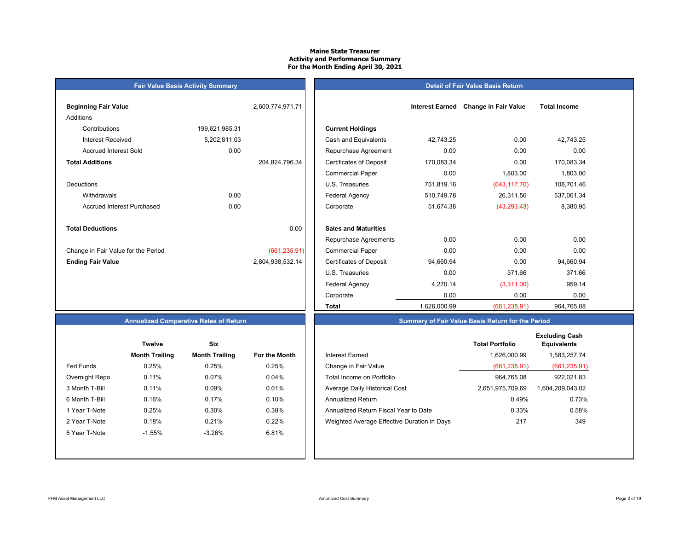## **Maine State Treasurer Activity and Performance Summary For the Month Ending April 30, 2021**

# **Fair Value Basis Activity Summary**

## **Detail of Fair Value Basis Return**

| <b>Beginning Fair Value</b>         |                | 2,600,774,971.71 |                                |
|-------------------------------------|----------------|------------------|--------------------------------|
| Additions                           |                |                  |                                |
| Contributions                       | 199,621,985.31 |                  | <b>Current Holdings</b>        |
| Interest Received                   | 5,202,811.03   |                  | Cash and Equivalents           |
| <b>Accrued Interest Sold</b>        | 0.00           |                  | Repurchase Agreeme             |
| <b>Total Additions</b>              |                | 204,824,796.34   | <b>Certificates of Deposit</b> |
|                                     |                |                  | <b>Commercial Paper</b>        |
| Deductions                          |                |                  | U.S. Treasuries                |
| Withdrawals                         | 0.00           |                  | <b>Federal Agency</b>          |
| Accrued Interest Purchased          | 0.00           |                  | Corporate                      |
|                                     |                |                  |                                |
| <b>Total Deductions</b>             |                | 0.00             | <b>Sales and Maturities</b>    |
|                                     |                |                  | Repurchase Agreeme             |
| Change in Fair Value for the Period |                | (661, 235.91)    | <b>Commercial Paper</b>        |
| <b>Ending Fair Value</b>            |                | 2,804,938,532.14 | <b>Certificates of Deposit</b> |
|                                     |                |                  | U.S. Treasuries                |

| Beginning Fair Value                | 2,600,774,971.71 |                                | <b>Interest Earned</b> | <b>Change in Fair Value</b> | <b>Total Income</b> |  |
|-------------------------------------|------------------|--------------------------------|------------------------|-----------------------------|---------------------|--|
| Additions                           |                  |                                |                        |                             |                     |  |
| Contributions                       | 199,621,985.31   | <b>Current Holdings</b>        |                        |                             |                     |  |
| <b>Interest Received</b>            | 5,202,811.03     | Cash and Equivalents           | 42,743.25              | 0.00                        | 42,743.25           |  |
| <b>Accrued Interest Sold</b>        | 0.00             | Repurchase Agreement           | 0.00                   | 0.00                        | 0.00                |  |
| <b>Total Additions</b>              | 204,824,796.34   | <b>Certificates of Deposit</b> | 170,083.34             | 0.00                        | 170,083.34          |  |
|                                     |                  | <b>Commercial Paper</b>        | 0.00                   | 1,803.00                    | 1,803.00            |  |
| Deductions                          |                  | U.S. Treasuries                | 751,819.16             | (643, 117.70)               | 108,701.46          |  |
| Withdrawals                         | 0.00             | <b>Federal Agency</b>          | 510,749.78             | 26,311.56                   | 537,061.34          |  |
| <b>Accrued Interest Purchased</b>   | 0.00             | Corporate                      | 51,674.38              | (43, 293.43)                | 8,380.95            |  |
| <b>Total Deductions</b>             | 0.00             | <b>Sales and Maturities</b>    |                        |                             |                     |  |
|                                     |                  | Repurchase Agreements          | 0.00                   | 0.00                        | 0.00                |  |
| Change in Fair Value for the Period | (661, 235.91)    | <b>Commercial Paper</b>        | 0.00                   | 0.00                        | 0.00                |  |
| <b>Ending Fair Value</b>            | 2,804,938,532.14 | <b>Certificates of Deposit</b> | 94,660.94              | 0.00                        | 94,660.94           |  |
|                                     |                  | U.S. Treasuries                | 0.00                   | 371.66                      | 371.66              |  |
|                                     |                  | <b>Federal Agency</b>          | 4,270.14               | (3,311.00)                  | 959.14              |  |
|                                     |                  | Corporate                      | 0.00                   | 0.00                        | 0.00                |  |
|                                     |                  | <b>Total</b>                   | 1,626,000.99           | (661, 235.91)               | 964,765.08          |  |

# **Summary of Fair Value Basis Return for the Period**

# **Annualized Comparative Rates of Return**

|                | <b>Twelve</b>         | Six                   |                      |
|----------------|-----------------------|-----------------------|----------------------|
|                | <b>Month Trailing</b> | <b>Month Trailing</b> | <b>For the Month</b> |
| Fed Funds      | 0.25%                 | 0.25%                 | 0.25%                |
| Overnight Repo | 0.11%                 | 0.07%                 | 0.04%                |
| 3 Month T-Bill | 0.11%                 | 0.09%                 | 0.01%                |
| 6 Month T-Bill | 0.16%                 | 0.17%                 | 0.10%                |
| 1 Year T-Note  | 0.25%                 | 0.30%                 | 0.38%                |
| 2 Year T-Note  | 0.18%                 | 0.21%                 | 0.22%                |
| 5 Year T-Note  | $-1.55%$              | $-3.26%$              | 6.81%                |
|                |                       |                       |                      |
|                |                       |                       |                      |

|                  | <b>Twelve</b>         | Six                   |               |                                             | <b>Total Portfolio</b> | <b>Excluding Cash</b><br><b>Equivalents</b> |
|------------------|-----------------------|-----------------------|---------------|---------------------------------------------|------------------------|---------------------------------------------|
|                  | <b>Month Trailing</b> | <b>Month Trailing</b> | For the Month | <b>Interest Earned</b>                      | 1.626.000.99           | 1,583,257.74                                |
| <b>Fed Funds</b> | 0.25%                 | 0.25%                 | 0.25%         | Change in Fair Value                        | (661, 235.91)          | (661, 235.91)                               |
| Overnight Repo   | 0.11%                 | 0.07%                 | 0.04%         | Total Income on Portfolio                   | 964.765.08             | 922,021.83                                  |
| 3 Month T-Bill   | 0.11%                 | 0.09%                 | 0.01%         | Average Daily Historical Cost               | 2,651,975,709.69       | 1,604,209,043.02                            |
| 6 Month T-Bill   | 0.16%                 | 0.17%                 | 0.10%         | Annualized Return                           | 0.49%                  | 0.73%                                       |
| 1 Year T-Note    | 0.25%                 | 0.30%                 | 0.38%         | Annualized Return Fiscal Year to Date       | 0.33%                  | 0.58%                                       |
| 2 Year T-Note    | 0.18%                 | 0.21%                 | 0.22%         | Weighted Average Effective Duration in Days | 217                    | 349                                         |
| 5 Year T-Note    | $-1.55%$              | $-3.26%$              | 6.81%         |                                             |                        |                                             |
|                  |                       |                       |               |                                             |                        |                                             |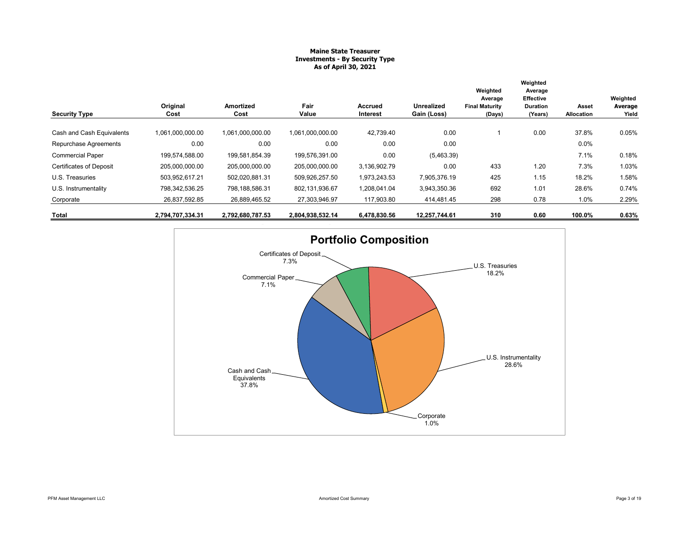## **Maine State Treasurer Investments - By Security Type As of April 30, 2021**

|                                |                  |                   |                  |                            |                                  | Weighted<br>Average             | Weighted<br>Average<br><b>Effective</b> |                     | Weighted         |
|--------------------------------|------------------|-------------------|------------------|----------------------------|----------------------------------|---------------------------------|-----------------------------------------|---------------------|------------------|
| <b>Security Type</b>           | Original<br>Cost | Amortized<br>Cost | Fair<br>Value    | <b>Accrued</b><br>Interest | <b>Unrealized</b><br>Gain (Loss) | <b>Final Maturity</b><br>(Days) | <b>Duration</b><br>(Years)              | Asset<br>Allocation | Average<br>Yield |
| Cash and Cash Equivalents      | 1,061,000,000.00 | 1,061,000,000.00  | 1.061.000.000.00 | 42,739.40                  | 0.00                             |                                 | 0.00                                    | 37.8%               | 0.05%            |
| Repurchase Agreements          | 0.00             | 0.00              | 0.00             | 0.00                       | 0.00                             |                                 |                                         | $0.0\%$             |                  |
| <b>Commercial Paper</b>        | 199,574,588.00   | 199,581,854.39    | 199,576,391.00   | 0.00                       | (5,463.39)                       |                                 |                                         | 7.1%                | 0.18%            |
| <b>Certificates of Deposit</b> | 205,000,000.00   | 205,000,000.00    | 205,000,000.00   | 3,136,902.79               | 0.00                             | 433                             | 1.20                                    | 7.3%                | 1.03%            |
| U.S. Treasuries                | 503,952,617.21   | 502,020,881.31    | 509,926,257.50   | 1,973,243.53               | 7,905,376.19                     | 425                             | 1.15                                    | 18.2%               | 1.58%            |
| U.S. Instrumentality           | 798,342,536.25   | 798,188,586.31    | 802,131,936.67   | 1,208,041.04               | 3,943,350.36                     | 692                             | 1.01                                    | 28.6%               | 0.74%            |
| Corporate                      | 26,837,592.85    | 26,889,465.52     | 27,303,946.97    | 117,903.80                 | 414,481.45                       | 298                             | 0.78                                    | 1.0%                | 2.29%            |
| Total                          | 2,794,707,334.31 | 2,792,680,787.53  | 2,804,938,532.14 | 6,478,830.56               | 12,257,744.61                    | 310                             | 0.60                                    | 100.0%              | 0.63%            |

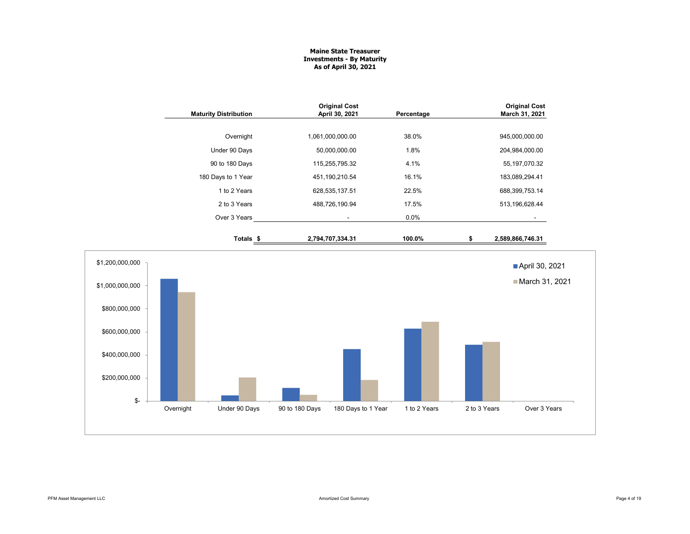## **Maine State Treasurer Investments - By Maturity As of April 30, 2021**

|                 | <b>Maturity Distribution</b> | <b>Original Cost</b><br>April 30, 2021 | Percentage                         |              | <b>Original Cost</b><br>March 31, 2021 |
|-----------------|------------------------------|----------------------------------------|------------------------------------|--------------|----------------------------------------|
|                 | Overnight                    | 1,061,000,000.00                       | 38.0%                              |              | 945,000,000.00                         |
|                 | Under 90 Days                | 50,000,000.00                          | 1.8%                               |              | 204,984,000.00                         |
|                 | 90 to 180 Days               | 115,255,795.32                         | 4.1%                               |              | 55, 197, 070.32                        |
|                 | 180 Days to 1 Year           | 451,190,210.54                         | 16.1%                              |              | 183,089,294.41                         |
|                 | 1 to 2 Years                 | 628,535,137.51                         | 22.5%                              |              | 688,399,753.14                         |
|                 | 2 to 3 Years                 | 488,726,190.94                         | 17.5%                              |              | 513, 196, 628.44                       |
|                 | Over 3 Years                 | $\blacksquare$                         | 0.0%                               |              |                                        |
|                 | Totals <sub>\$</sub>         | 2,794,707,334.31                       | 100.0%                             | \$           | 2,589,866,746.31                       |
| \$1,200,000,000 |                              |                                        |                                    |              | April 30, 2021                         |
| \$1,000,000,000 |                              |                                        |                                    |              | March 31, 2021                         |
| \$800,000,000   |                              |                                        |                                    |              |                                        |
| \$600,000,000   |                              |                                        |                                    |              |                                        |
| \$400,000,000   |                              |                                        |                                    |              |                                        |
| \$200,000,000   |                              |                                        |                                    |              |                                        |
| \$-             | Overnight<br>Under 90 Days   | 90 to 180 Days                         | 180 Days to 1 Year<br>1 to 2 Years | 2 to 3 Years | Over 3 Years                           |
|                 |                              |                                        |                                    |              |                                        |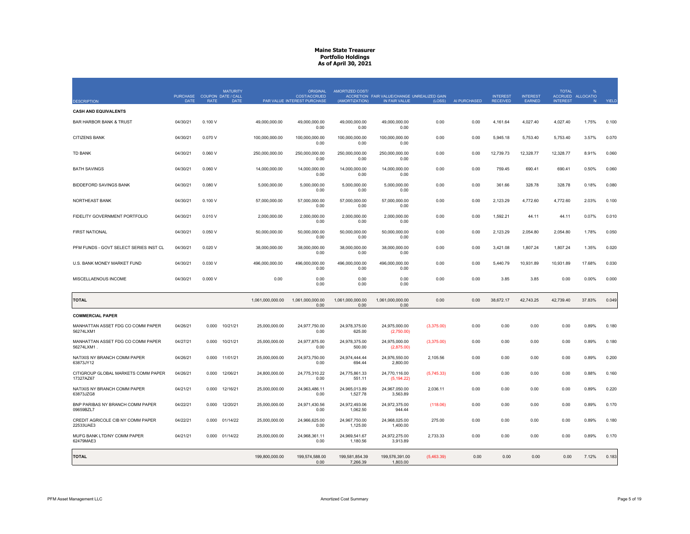| <b>DESCRIPTION</b>                               | PURCHASE COUPON DATE / CALL<br><b>DATE</b> | <b>RATE</b> | <b>MATURITY</b><br><b>DATE</b> |                  | <b>ORIGINAL</b><br>COST/ACCRUED<br>PAR VALUE INTEREST PURCHASE | AMORTIZED COST/<br>(AMORTIZATION) | ACCRETION FAIR VALUE/CHANGE UNREALIZED GAIN<br>IN FAIR VALUE | (LOSS)     | AI PURCHASED | <b>INTEREST</b><br><b>RECEIVED</b> | <b>INTEREST</b><br>EARNED | <b>TOTAL</b><br><b>INTEREST</b> | ACCRUED ALLOCATIO<br>N | YIELD |
|--------------------------------------------------|--------------------------------------------|-------------|--------------------------------|------------------|----------------------------------------------------------------|-----------------------------------|--------------------------------------------------------------|------------|--------------|------------------------------------|---------------------------|---------------------------------|------------------------|-------|
| <b>CASH AND EQUIVALENTS</b>                      |                                            |             |                                |                  |                                                                |                                   |                                                              |            |              |                                    |                           |                                 |                        |       |
| <b>BAR HARBOR BANK &amp; TRUST</b>               | 04/30/21                                   | 0.100V      |                                | 49,000,000.00    | 49,000,000.00                                                  | 49,000,000.00                     | 49,000,000.00                                                | 0.00       | 0.00         | 4,161.64                           | 4,027.40                  | 4,027.40                        | 1.75%                  | 0.100 |
| CITIZENS BANK                                    | 04/30/21                                   | 0.070 V     |                                | 100,000,000.00   | 0.00<br>100,000,000.00                                         | 0.00<br>100,000,000.00            | 0.00<br>100,000,000.00                                       | 0.00       | 0.00         | 5,945.18                           | 5,753.40                  | 5,753.40                        | 3.57%                  | 0.070 |
|                                                  |                                            |             |                                |                  | 0.00                                                           | 0.00                              | 0.00                                                         |            |              |                                    |                           |                                 |                        |       |
| <b>TD BANK</b>                                   | 04/30/21                                   | 0.060V      |                                | 250,000,000.00   | 250,000,000.00<br>0.00                                         | 250,000,000.00<br>0.00            | 250,000,000.00<br>0.00                                       | 0.00       | 0.00         | 12,739.73                          | 12,328.77                 | 12,328.77                       | 8.91%                  | 0.060 |
| <b>BATH SAVINGS</b>                              | 04/30/21                                   | 0.060V      |                                | 14,000,000.00    | 14.000.000.00<br>0.00                                          | 14.000.000.00<br>0.00             | 14.000.000.00<br>0.00                                        | 0.00       | 0.00         | 759.45                             | 690.41                    | 690.41                          | 0.50%                  | 0.060 |
| <b>BIDDEFORD SAVINGS BANK</b>                    | 04/30/21                                   | 0.080V      |                                | 5,000,000.00     | 5.000.000.00<br>0.00                                           | 5.000.000.00<br>0.00              | 5.000.000.00<br>0.00                                         | 0.00       | 0.00         | 361.66                             | 328.78                    | 328.78                          | 0.18%                  | 0.080 |
| NORTHEAST BANK                                   | 04/30/21                                   | 0.100V      |                                | 57,000,000.00    | 57,000,000.00<br>0.00                                          | 57,000,000.00<br>0.00             | 57,000,000.00<br>0.00                                        | 0.00       | 0.00         | 2,123.29                           | 4,772.60                  | 4,772.60                        | 2.03%                  | 0.100 |
| FIDELITY GOVERNMENT PORTFOLIO                    | 04/30/21                                   | 0.010V      |                                | 2,000,000.00     | 2,000,000.00<br>0.00                                           | 2,000,000.00<br>0.00              | 2,000,000.00<br>0.00                                         | 0.00       | 0.00         | 1,592.21                           | 44.11                     | 44.11                           | 0.07%                  | 0.010 |
| <b>FIRST NATIONAL</b>                            | 04/30/21                                   | 0.050V      |                                | 50,000,000.00    | 50,000,000.00<br>0.00                                          | 50,000,000.00<br>0.00             | 50,000,000.00<br>0.00                                        | 0.00       | 0.00         | 2,123.29                           | 2,054.80                  | 2,054.80                        | 1.78%                  | 0.050 |
| PFM FUNDS - GOVT SELECT SERIES INST CL           | 04/30/21                                   | 0.020V      |                                | 38,000,000.00    | 38,000,000.00<br>0.00                                          | 38,000,000.00<br>0.00             | 38,000,000.00<br>0.00                                        | 0.00       | 0.00         | 3,421.08                           | 1,807.24                  | 1,807.24                        | 1.35%                  | 0.020 |
| U.S. BANK MONEY MARKET FUND                      | 04/30/21                                   | 0.030V      |                                | 496,000,000.00   | 496,000,000.00<br>0.00                                         | 496,000,000.00<br>0.00            | 496,000,000.00<br>0.00                                       | 0.00       | 0.00         | 5,440.79                           | 10,931.89                 | 10,931.89                       | 17.68%                 | 0.030 |
| MISCELLAENOUS INCOME                             | 04/30/21                                   | 0.000V      |                                | 0.00             | 0.00<br>0.00                                                   | 0.00<br>0.00                      | 0.00<br>0.00                                                 | 0.00       | 0.00         | 3.85                               | 3.85                      | 0.00                            | 0.00%                  | 0.000 |
| <b>TOTAL</b>                                     |                                            |             |                                | 1,061,000,000.00 | 1,061,000,000.00<br>0.00                                       | 1,061,000,000.00<br>0.00          | 1,061,000,000.00<br>0.00                                     | 0.00       | 0.00         | 38,672.17                          | 42,743.25                 | 42,739.40                       | 37.83%                 | 0.049 |
| <b>COMMERCIAL PAPER</b>                          |                                            |             |                                |                  |                                                                |                                   |                                                              |            |              |                                    |                           |                                 |                        |       |
| MANHATTAN ASSET FDG CO COMM PAPER<br>56274LXM1   | 04/26/21                                   | 0.000       | 10/21/21                       | 25,000,000.00    | 24,977,750.00<br>0.00                                          | 24,978,375.00<br>625.00           | 24,975,000.00<br>(2,750.00)                                  | (3,375.00) | 0.00         | 0.00                               | 0.00                      | 0.00                            | 0.89%                  | 0.180 |
| MANHATTAN ASSET FDG CO COMM PAPER<br>56274LXM1.  | 04/27/21                                   | 0.000       | 10/21/21                       | 25,000,000.00    | 24.977.875.00<br>0.00                                          | 24.978.375.00<br>500.00           | 24.975.000.00<br>(2,875.00)                                  | (3,375.00) | 0.00         | 0.00                               | 0.00                      | 0.00                            | 0.89%                  | 0.180 |
| NATIXIS NY BRANCH COMM PAPER<br>63873JY12        | 04/26/21                                   | 0.000       | 11/01/21                       | 25.000.000.00    | 24.973.750.00<br>0.00                                          | 24.974.444.44<br>694.44           | 24,976,550.00<br>2,800.00                                    | 2.105.56   | 0.00         | 0.00                               | 0.00                      | 0.00                            | 0.89%                  | 0.200 |
| CITIGROUP GLOBAL MARKETS COMM PAPER<br>17327AZ67 | 04/26/21                                   | 0.000       | 12/06/21                       | 24,800,000.00    | 24,775,310.22<br>0.00                                          | 24,775,861.33<br>551.11           | 24,770,116.00<br>(5, 194.22)                                 | (5,745.33) | 0.00         | 0.00                               | 0.00                      | 0.00                            | 0.88%                  | 0.160 |
| NATIXIS NY BRANCH COMM PAPER<br>63873JZG8        | 04/21/21                                   | 0.000       | 12/16/21                       | 25,000,000.00    | 24,963,486.11<br>0.00                                          | 24,965,013.89<br>1,527.78         | 24,967,050.00<br>3,563.89                                    | 2,036.11   | 0.00         | 0.00                               | 0.00                      | 0.00                            | 0.89%                  | 0.220 |
| BNP PARIBAS NY BRANCH COMM PAPER<br>09659BZL7    | 04/22/21                                   | 0.000       | 12/20/21                       | 25,000,000.00    | 24,971,430.56<br>0.00                                          | 24,972,493.06<br>1,062.50         | 24,972,375.00<br>944.44                                      | (118.06)   | 0.00         | 0.00                               | 0.00                      | 0.00                            | 0.89%                  | 0.170 |
| CREDIT AGRICOLE CIB NY COMM PAPER<br>22533UAE3   | 04/22/21                                   | 0.000       | 01/14/22                       | 25,000,000.00    | 24,966,625.00<br>0.00                                          | 24,967,750.00<br>1,125.00         | 24,968,025.00<br>1,400.00                                    | 275.00     | 0.00         | 0.00                               | 0.00                      | 0.00                            | 0.89%                  | 0.180 |
| MUFG BANK LTD/NY COMM PAPER<br>62479MAE3         | 04/21/21                                   |             | 0.000 01/14/22                 | 25,000,000.00    | 24,968,361.11<br>0.00                                          | 24,969,541.67<br>1,180.56         | 24,972,275.00<br>3,913.89                                    | 2,733.33   | 0.00         | 0.00                               | 0.00                      | 0.00                            | 0.89%                  | 0.170 |
| <b>TOTAL</b>                                     |                                            |             |                                | 199,800,000.00   | 199,574,588.00<br>0.00                                         | 199,581,854.39<br>7,266.39        | 199,576,391.00<br>1,803.00                                   | (5,463.39) | 0.00         | 0.00                               | 0.00                      | 0.00                            | 7.12%                  | 0.183 |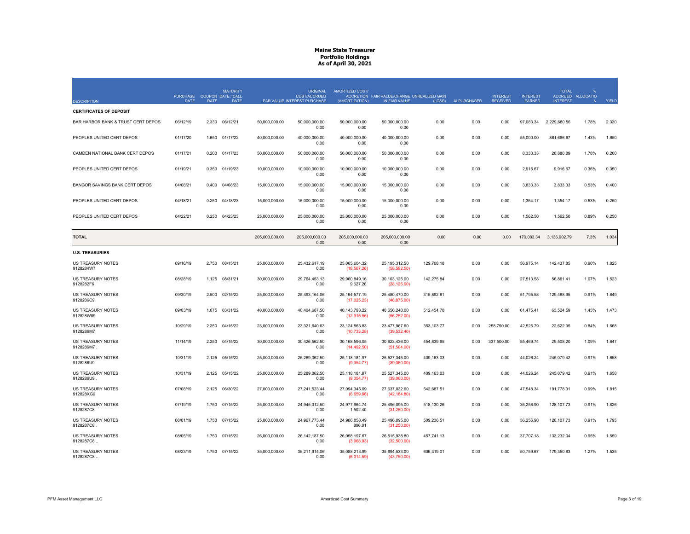|                                       |          | <b>MATURITY</b><br>PURCHASE COUPON DATE / CALL |                | <b>ORIGINAL</b><br>COST/ACCRUED | <b>AMORTIZED COST/</b>          | ACCRETION FAIR VALUE/CHANGE UNREALIZED GAIN |            |              | <b>INTEREST</b> | <b>INTEREST</b> | <b>TOTAL</b>    | ACCRUED ALLOCATIO |       |
|---------------------------------------|----------|------------------------------------------------|----------------|---------------------------------|---------------------------------|---------------------------------------------|------------|--------------|-----------------|-----------------|-----------------|-------------------|-------|
| <b>DESCRIPTION</b>                    | DATE     | <b>RATE</b>                                    | DATE           | PAR VALUE INTEREST PURCHASE     | (AMORTIZATION)                  | IN FAIR VALUE                               | (LOSS)     | AI PURCHASED | <b>RECEIVED</b> | <b>EARNED</b>   | <b>INTEREST</b> | N                 | YIELD |
| <b>CERTIFICATES OF DEPOSIT</b>        |          |                                                |                |                                 |                                 |                                             |            |              |                 |                 |                 |                   |       |
| BAR HARBOR BANK & TRUST CERT DEPOS    | 06/12/19 | 2.330<br>06/12/21                              | 50.000.000.00  | 50,000,000.00<br>0.00           | 50.000.000.00<br>0.00           | 50,000,000.00<br>0.00                       | 0.00       | 0.00         | 0.00            | 97,083.34       | 2,229,680.56    | 1.78%             | 2.330 |
| PEOPLES UNITED CERT DEPOS             | 01/17/20 | 1.650<br>01/17/22                              | 40,000,000.00  | 40,000,000.00<br>0.00           | 40,000,000.00<br>0.00           | 40,000,000.00<br>0.00                       | 0.00       | 0.00         | 0.00            | 55,000.00       | 861,666.67      | 1.43%             | 1.650 |
| CAMDEN NATIONAL BANK CERT DEPOS       | 01/17/21 | 0.200<br>01/17/23                              | 50,000,000.00  | 50,000,000.00<br>0.00           | 50,000,000.00<br>0.00           | 50,000,000.00<br>0.00                       | 0.00       | 0.00         | 0.00            | 8,333.33        | 28,888.89       | 1.78%             | 0.200 |
| PEOPLES UNITED CERT DEPOS             | 01/19/21 | 0.350<br>01/19/23                              | 10,000,000.00  | 10,000,000.00<br>0.00           | 10,000,000.00<br>0.00           | 10,000,000.00<br>0.00                       | 0.00       | 0.00         | 0.00            | 2,916.67        | 9,916.67        | 0.36%             | 0.350 |
| BANGOR SAVINGS BANK CERT DEPOS        | 04/08/21 | 0.400<br>04/08/23                              | 15,000,000.00  | 15,000,000.00<br>0.00           | 15,000,000.00<br>0.00           | 15,000,000.00<br>0.00                       | 0.00       | 0.00         | 0.00            | 3,833.33        | 3,833.33        | 0.53%             | 0.400 |
| PEOPLES UNITED CERT DEPOS             | 04/18/21 | 04/18/23<br>0.250                              | 15,000,000.00  | 15,000,000.00<br>0.00           | 15,000,000.00<br>0.00           | 15,000,000.00<br>0.00                       | 0.00       | 0.00         | 0.00            | 1,354.17        | 1,354.17        | 0.53%             | 0.250 |
| PEOPLES UNITED CERT DEPOS             | 04/22/21 | 0.250<br>04/23/23                              | 25,000,000.00  | 25,000,000.00<br>0.00           | 25,000,000.00<br>0.00           | 25,000,000.00<br>0.00                       | 0.00       | 0.00         | 0.00            | 1,562.50        | 1,562.50        | 0.89%             | 0.250 |
| <b>TOTAL</b>                          |          |                                                | 205,000,000.00 | 205,000,000.00<br>0.00          | 205,000,000.00<br>0.00          | 205,000,000.00<br>0.00                      | 0.00       | 0.00         | 0.00            | 170,083.34      | 3,136,902.79    | 7.3%              | 1.034 |
| <b>U.S. TREASURIES</b>                |          |                                                |                |                                 |                                 |                                             |            |              |                 |                 |                 |                   |       |
| US TREASURY NOTES<br>9128284W7        | 09/16/19 | 08/15/21<br>2.750                              | 25,000,000.00  | 25,432,617.19<br>0.00           | 25,065,604.32<br>(18, 567.26)   | 25, 195, 312.50<br>(58, 592.50)             | 129,708.18 | 0.00         | 0.00            | 56,975.14       | 142,437.85      | 0.90%             | 1.825 |
| <b>US TREASURY NOTES</b><br>9128282F6 | 08/28/19 | 08/31/21<br>1.125                              | 30,000,000.00  | 29,764,453.13<br>0.00           | 29,960,849.16<br>9,627.26       | 30, 103, 125.00<br>(28, 125.00)             | 142,275.84 | 0.00         | 0.00            | 27,513.58       | 56,861.41       | 1.07%             | 1.523 |
| US TREASURY NOTES<br>9128286C9        | 09/30/19 | 2.500<br>02/15/22                              | 25,000,000.00  | 25,493,164.06<br>0.00           | 25, 164, 577. 19<br>(17,025.23) | 25,480,470.00<br>(46, 875.00)               | 315,892.81 | 0.00         | 0.00            | 51,795.58       | 129,488.95      | 0.91%             | 1.649 |
| US TREASURY NOTES<br>912828W89        | 09/03/19 | 1.875<br>03/31/22                              | 40.000.000.00  | 40.404.687.50<br>0.00           | 40.143.793.22<br>(12, 915.56)   | 40.656.248.00<br>(56, 252.00)               | 512,454.78 | 0.00         | 0.00            | 61,475.41       | 63,524.59       | 1.45%             | 1.473 |
| US TREASURY NOTES<br>9128286M7        | 10/29/19 | 2.250<br>04/15/22                              | 23,000,000.00  | 23,321,640.63<br>0.00           | 23, 124, 863.83<br>(10, 733.28) | 23,477,967.60<br>(39, 532.40)               | 353,103.77 | 0.00         | 258,750.00      | 42,526.79       | 22,622.95       | 0.84%             | 1.668 |
| US TREASURY NOTES<br>9128286M7.       | 11/14/19 | 2.250<br>04/15/22                              | 30,000,000.00  | 30,426,562.50<br>0.00           | 30,168,596.05<br>(14, 492.50)   | 30,623,436.00<br>(51, 564.00)               | 454,839.95 | 0.00         | 337,500.00      | 55,469.74       | 29,508.20       | 1.09%             | 1.647 |
| US TREASURY NOTES<br>9128286U9        | 10/31/19 | 2.125<br>05/15/22                              | 25,000,000.00  | 25,289,062.50<br>0.00           | 25,118,181.97<br>(9,354.77)     | 25,527,345.00<br>(39,060.00)                | 409,163.03 | 0.00         | 0.00            | 44,026.24       | 245,079.42      | 0.91%             | 1.658 |
| US TREASURY NOTES<br>9128286U9        | 10/31/19 | 2.125<br>05/15/22                              | 25,000,000.00  | 25,289,062.50<br>0.00           | 25,118,181.97<br>(9,354.77)     | 25,527,345.00<br>(39,060.00)                | 409,163.03 | 0.00         | 0.00            | 44,026.24       | 245,079.42      | 0.91%             | 1.658 |
| <b>US TREASURY NOTES</b><br>912828XG0 | 07/08/19 | 2.125<br>06/30/22                              | 27.000.000.00  | 27.241.523.44<br>0.00           | 27.094.345.09<br>(6,659.66)     | 27.637.032.60<br>(42, 184.80)               | 542,687.51 | 0.00         | 0.00            | 47.548.34       | 191.778.31      | 0.99%             | 1.815 |
| US TREASURY NOTES<br>9128287C8        | 07/19/19 | 1.750<br>07/15/22                              | 25,000,000.00  | 24,945,312.50<br>0.00           | 24,977,964.74<br>1,502.40       | 25,496,095.00<br>(31,250.00)                | 518,130.26 | 0.00         | 0.00            | 36,256.90       | 128, 107.73     | 0.91%             | 1.826 |
| US TREASURY NOTES<br>9128287C8        | 08/01/19 | 1.750<br>07/15/22                              | 25,000,000.00  | 24,967,773.44<br>0.00           | 24,986,858.49<br>896.01         | 25,496,095.00<br>(31, 250.00)               | 509,236.51 | 0.00         | 0.00            | 36,256.90       | 128, 107.73     | 0.91%             | 1.795 |
| US TREASURY NOTES<br>9128287C8        | 08/05/19 | 07/15/22<br>1.750                              | 26,000,000.00  | 26, 142, 187.50<br>0.00         | 26,058,197.67<br>(3,968.03)     | 26,515,938.80<br>(32,500.00)                | 457,741.13 | 0.00         | 0.00            | 37,707.18       | 133,232.04      | 0.95%             | 1.559 |
| US TREASURY NOTES<br>9128287C8.       | 08/23/19 | 1.750 07/15/22                                 | 35,000,000.00  | 35,211,914.06<br>0.00           | 35,088,213.99<br>(6,014.59)     | 35,694,533.00<br>(43,750.00)                | 606,319.01 | 0.00         | 0.00            | 50,759.67       | 179,350.83      | 1.27%             | 1.535 |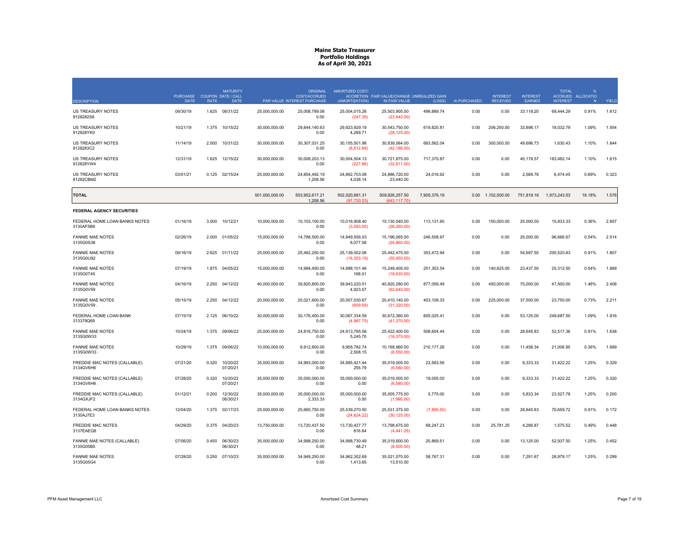| <b>DESCRIPTION</b>                         | <b>PURCHASE</b><br>DATE | <b>RATE</b> | <b>MATURITY</b><br>COUPON DATE / CALL<br>DATE |                | <b>ORIGINAL</b><br><b>COST/ACCRUED</b><br>PAR VALUE INTEREST PURCHASE | <b>AMORTIZED COST/</b><br>(AMORTIZATION) | ACCRETION FAIR VALUE/CHANGE UNREALIZED GAIN<br>IN FAIR VALUE | (LOSS)       | AI PURCHASED | <b>INTEREST</b><br><b>RECEIVED</b> | <b>INTEREST</b><br>EARNED | <b>TOTAL</b><br><b>INTEREST</b> | ACCRUED ALLOCATIO<br>$\mathbf N$ | YIELD |
|--------------------------------------------|-------------------------|-------------|-----------------------------------------------|----------------|-----------------------------------------------------------------------|------------------------------------------|--------------------------------------------------------------|--------------|--------------|------------------------------------|---------------------------|---------------------------------|----------------------------------|-------|
| US TREASURY NOTES<br>9128282S8             | 09/30/19                | 1.625       | 08/31/22                                      | 25.000.000.00  | 25,008,789.06<br>0.00                                                 | 25,004,015.26<br>(247.35)                | 25,503,905.00<br>(23, 440.00)                                | 499,889.74   | 0.00         | 0.00                               | 33,118.20                 | 68,444.29                       | 0.91%                            | 1.612 |
| US TREASURY NOTES<br>912828YK0             | 10/21/19                | 1.375       | 10/15/22                                      | 30,000,000.00  | 29,844,140.63<br>0.00                                                 | 29,923,929.19<br>4,289.71                | 30,543,750.00<br>(28, 125.00)                                | 619,820.81   | 0.00         | 206,250.00                         | 33,898.17                 | 18,032.79                       | 1.09%                            | 1.554 |
| US TREASURY NOTES<br>9128283C2             | 11/14/19                | 2.000       | 10/31/22                                      | 30,000,000.00  | 30,307,031.25<br>0.00                                                 | 30,155,501.96<br>(8,512.89)              | 30,839,064.00<br>(42, 186.00)                                | 683,562.04   | 0.00         | 300,000.00                         | 49,696.73                 | 1,630.43                        | 1.10%                            | 1.644 |
| US TREASURY NOTES<br>912828YW4             | 12/31/19                | 1.625       | 12/15/22                                      | 30,000,000.00  | 30,008,203.13<br>0.00                                                 | 30,004,504.13<br>(227.86)                | 30,721,875.00<br>(32,811.00)                                 | 717,370.87   | 0.00         | 0.00                               | 40,178.57                 | 183,482.14                      | 1.10%                            | 1.615 |
| US TREASURY NOTES<br>91282CBM2             | 03/01/21                | 0.125       | 02/15/24                                      | 25,000,000.00  | 24,854,492.19<br>1,208.56                                             | 24,862,703.08<br>4,038.14                | 24,886,720.00<br>23,440.00                                   | 24,016.92    | 0.00         | 0.00                               | 2,589.78                  | 6,474.45                        | 0.89%                            | 0.323 |
| <b>TOTAL</b>                               |                         |             |                                               | 501,000,000.00 | 503,952,617.21<br>1.208.56                                            | 502,020,881.31<br>(97.720.23)            | 509,926,257.50<br>(643.117.70)                               | 7,905,376.19 |              | 0.00 1,102,500.00                  | 751,819.16                | 1,973,243.53                    | 18.18%                           | 1.576 |
| <b>FEDERAL AGENCY SECURITIES</b>           |                         |             |                                               |                |                                                                       |                                          |                                                              |              |              |                                    |                           |                                 |                                  |       |
| FEDERAL HOME LOAN BANKS NOTES<br>3130AF5B9 | 01/16/19                | 3.000       | 10/12/21                                      | 10,000,000.00  | 10,103,100.00<br>0.00                                                 | 10,016,908.40<br>(3,093.00)              | 10,130,040.00<br>(26, 260.00)                                | 113,131.60   | 0.00         | 150,000.00                         | 25,000.00                 | 15,833.33                       | 0.36%                            | 2.607 |
| <b>FANNIE MAE NOTES</b><br>3135G0S38       | 02/26/19                | 2.000       | 01/05/22                                      | 15,000,000.00  | 14,788,500.00<br>0.00                                                 | 14,949,556.03<br>6,077.58                | 15,196,065.00<br>(24,960.00)                                 | 246,508.97   | 0.00         | 0.00                               | 25,000.00                 | 96,666.67                       | 0.54%                            | 2.514 |
| <b>FANNIE MAE NOTES</b><br>3135G0U92       | 09/16/19                | 2.625       | 01/11/22                                      | 25,000,000.00  | 25,462,250.00<br>0.00                                                 | 25,139,002.06<br>(16, 353.19)            | 25,442,475.00<br>(55, 450.00)                                | 303,472.94   | 0.00         | 0.00                               | 54,687.50                 | 200,520.83                      | 0.91%                            | 1.807 |
| <b>FANNIE MAE NOTES</b><br>3135G0T45       | 07/19/19                | 1.875       | 04/05/22                                      | 15,000,000.00  | 14,994,450.00<br>0.00                                                 | 14,998,101.46<br>168.01                  | 15,249,405.00<br>(18,630.00)                                 | 251,303.54   | 0.00         | 140,625.00                         | 23,437.50                 | 20,312.50                       | 0.54%                            | 1.889 |
| <b>FANNIE MAE NOTES</b><br>3135G0V59       | 04/16/19                | 2.250       | 04/12/22                                      | 40,000,000.00  | 39,820,800.00<br>0.00                                                 | 39,943,220.51<br>4,923.07                | 40,820,280.00<br>(62,640.00)                                 | 877,059.49   | 0.00         | 450,000.00                         | 75,000.00                 | 47,500.00                       | 1.46%                            | 2.406 |
| <b>FANNIE MAE NOTES</b><br>3135G0V59       | 05/15/19                | 2.250       | 04/12/22                                      | 20,000,000.00  | 20,021,600.00<br>0.00                                                 | 20,007,030.67<br>(609.59)                | 20,410,140.00<br>(31,320.00)                                 | 403,109.33   | 0.00         | 225,000.00                         | 37,500.00                 | 23,750.00                       | 0.73%                            | 2.211 |
| FEDERAL HOME LOAN BANK<br>313379Q69        | 07/15/19                | 2.125       | 06/10/22                                      | 30,000,000.00  | 30,176,400.00<br>0.00                                                 | 30,067,334.59<br>(4,987.75)              | 30,672,360.00<br>(41,370.00)                                 | 605,025.41   | 0.00         | 0.00                               | 53,125.00                 | 249,687.50                      | 1.09%                            | 1.916 |
| <b>FANNIE MAE NOTES</b><br>3135G0W33       | 10/24/19                | 1.375       | 09/06/22                                      | 25,000,000.00  | 24.816.750.00<br>0.00                                                 | 24,913,795.56<br>5,245.70                | 25.422.400.00<br>(16, 375.00)                                | 508,604.44   | 0.00         | 0.00                               | 28.645.83                 | 52,517.36                       | 0.91%                            | 1.638 |
| <b>FANNIE MAE NOTES</b><br>3135G0W33       | 10/29/19                | 1.375       | 09/06/22                                      | 10.000.000.00  | 9.912.800.00<br>0.00                                                  | 9.958.782.74<br>2,508.15                 | 10,168,960.00<br>(6,550.00)                                  | 210,177.26   | 0.00         | 0.00                               | 11.458.34                 | 21.006.95                       | 0.36%                            | 1.689 |
| FREDDIE MAC NOTES (CALLABLE)<br>3134GV6H6  | 07/21/20                | 0.320       | 10/20/22<br>07/20/21                          | 35,000,000.00  | 34,993,000.00<br>0.00                                                 | 34,995,421.44<br>255.79                  | 35,019,005.00<br>(6,580.00)                                  | 23,583.56    | 0.00         | 0.00                               | 9,333.33                  | 31,422.22                       | 1.25%                            | 0.329 |
| FREDDIE MAC NOTES (CALLABLE)<br>3134GV6H6  | 07/28/20                | 0.320       | 10/20/22<br>07/20/21                          | 35,000,000.00  | 35,000,000.00<br>0.00                                                 | 35,000,000.00<br>0.00                    | 35,019,005.00<br>(6,580.00)                                  | 19,005.00    | 0.00         | 0.00                               | 9,333.33                  | 31,422.22                       | 1.25%                            | 0.320 |
| FREDDIE MAC NOTES (CALLABLE)<br>3134GXJF2  | 01/12/21                | 0.200       | 12/30/22<br>06/30/21                          | 35,000,000.00  | 35,000,000.00<br>2,333.33                                             | 35,000,000.00<br>0.00                    | 35,005,775.00<br>(1,995.00)                                  | 5,775.00     | 0.00         | 0.00                               | 5,833.34                  | 23,527.78                       | 1.25%                            | 0.200 |
| FEDERAL HOME LOAN BANKS NOTES<br>3130AJ7E3 | 12/04/20                | 1.375       | 02/17/23                                      | 25,000,000.00  | 25,660,750.00<br>0.00                                                 | 25,539,270.50<br>(24, 624.22)            | 25,531,375.00<br>(30, 125.00)                                | (7,895.50)   | 0.00         | 0.00                               | 28.645.83                 | 70,659.72                       | 0.91%                            | 0.172 |
| <b>FREDDIE MAC NOTES</b><br>3137EAEQ8      | 04/29/20                | 0.375       | 04/20/23                                      | 13,750,000.00  | 13,720,437.50<br>0.00                                                 | 13,730,427.77<br>816.64                  | 13,798,675.00<br>(4,441.25)                                  | 68,247.23    | 0.00         | 25,781.25                          | 4,296.87                  | 1,575.52                        | 0.49%                            | 0.448 |
| FANNIE MAE NOTES (CALLABLE)<br>3135G05B5   | 07/06/20                | 0.450       | 06/30/23<br>06/30/21                          | 35.000.000.00  | 34.998.250.00<br>0.00                                                 | 34.998.730.49<br>48.21                   | 35.019.600.00<br>(8,505.00)                                  | 20.869.51    | 0.00         | 0.00                               | 13.125.00                 | 52.937.50                       | 1.25%                            | 0.452 |
| <b>FANNIE MAE NOTES</b><br>3135G05G4       | 07/28/20                | 0.250       | 07/10/23                                      | 35,000,000.00  | 34.949.250.00<br>0.00                                                 | 34,962,302.69<br>1,413.65                | 35,021,070.00<br>13,510.00                                   | 58,767.31    | 0.00         | 0.00                               | 7,291.67                  | 26,979.17                       | 1.25%                            | 0.299 |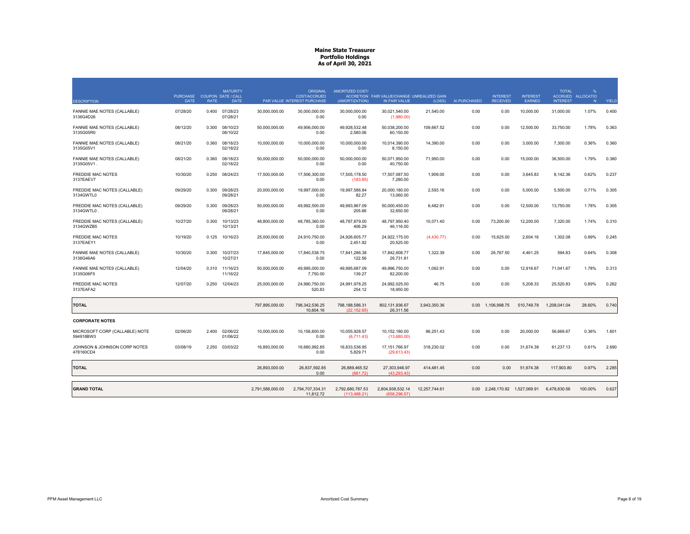|                                             | <b>PURCHASE</b> |             | <b>MATURITY</b><br>COUPON DATE / CALL |                  | <b>ORIGINAL</b><br><b>COST/ACCRUED</b> | AMORTIZED COST/                  | ACCRETION FAIR VALUE/CHANGE UNREALIZED GAIN |               |              | <b>INTEREST</b>                | <b>INTEREST</b> | <b>TOTAL</b>    | %<br>ACCRUED ALLOCATIO |       |
|---------------------------------------------|-----------------|-------------|---------------------------------------|------------------|----------------------------------------|----------------------------------|---------------------------------------------|---------------|--------------|--------------------------------|-----------------|-----------------|------------------------|-------|
| <b>DESCRIPTION</b>                          | <b>DATE</b>     | <b>RATE</b> | <b>DATE</b>                           |                  | <b>PAR VALUE INTEREST PURCHASE</b>     | (AMORTIZATION)                   | IN FAIR VALUE                               | (LOSS)        | AI PURCHASED | <b>RECEIVED</b>                | <b>EARNED</b>   | <b>INTEREST</b> | N                      | YIELD |
| FANNIE MAE NOTES (CALLABLE)<br>3136G4D26    | 07/28/20        | 0.400       | 07/28/23<br>07/28/21                  | 30,000,000.00    | 30,000,000.00<br>0.00                  | 30,000,000.00<br>0.00            | 30,021,540.00<br>(1,980.00)                 | 21,540.00     | 0.00         | 0.00                           | 10,000.00       | 31,000.00       | 1.07%                  | 0.400 |
| FANNIE MAE NOTES (CALLABLE)<br>3135G05R0    | 08/12/20        | 0.300       | 08/10/23<br>08/10/22                  | 50,000,000.00    | 49,906,000.00<br>0.00                  | 49,928,532.48<br>2,580.06        | 50,038,200.00<br>60,150.00                  | 109,667.52    | 0.00         | 0.00                           | 12,500.00       | 33,750.00       | 1.78%                  | 0.363 |
| FANNIE MAE NOTES (CALLABLE)<br>3135G05V1    | 08/21/20        | 0.360       | 08/18/23<br>02/18/22                  | 10,000,000.00    | 10.000.000.00<br>0.00                  | 10.000.000.00<br>0.00            | 10,014,390.00<br>8,150.00                   | 14,390.00     | 0.00         | 0.00                           | 3,000.00        | 7,300.00        | 0.36%                  | 0.360 |
| FANNIE MAE NOTES (CALLABLE)<br>3135G05V1.   | 08/21/20        | 0.360       | 08/18/23<br>02/18/22                  | 50,000,000.00    | 50,000,000.00<br>0.00                  | 50.000.000.00<br>0.00            | 50,071,950.00<br>40.750.00                  | 71.950.00     | 0.00         | 0.00                           | 15,000.00       | 36,500.00       | 1.79%                  | 0.360 |
| <b>FREDDIE MAC NOTES</b><br>3137EAEV7       | 10/30/20        | 0.250       | 08/24/23                              | 17,500,000.00    | 17.506.300.00<br>0.00                  | 17,505,178.50<br>(183.85)        | 17,507,087.50<br>7.280.00                   | 1.909.00      | 0.00         | 0.00                           | 3.645.83        | 8,142.36        | 0.62%                  | 0.237 |
| FREDDIE MAC NOTES (CALLABLE)<br>3134GWTL0   | 09/29/20        | 0.300       | 09/28/23<br>09/28/21                  | 20,000,000.00    | 19,997,000.00<br>0.00                  | 19,997,586.84<br>82.27           | 20,000,180.00<br>13,060.00                  | 2,593.16      | 0.00         | 0.00                           | 5,000.00        | 5,500.00        | 0.71%                  | 0.305 |
| FREDDIE MAC NOTES (CALLABLE)<br>3134GWTL0   | 09/29/20        | 0.300       | 09/28/23<br>09/28/21                  | 50,000,000.00    | 49.992.500.00<br>0.00                  | 49.993.967.09<br>205.66          | 50.000.450.00<br>32,650.00                  | 6.482.91      | 0.00         | 0.00                           | 12.500.00       | 13.750.00       | 1.78%                  | 0.305 |
| FREDDIE MAC NOTES (CALLABLE)<br>3134GWZB5   | 10/27/20        | 0.300       | 10/13/23<br>10/13/21                  | 48,800,000.00    | 48,785,360.00<br>0.00                  | 48,787,879.00<br>406.29          | 48,797,950.40<br>46,116.00                  | 10,071.40     | 0.00         | 73,200.00                      | 12,200.00       | 7,320.00        | 1.74%                  | 0.310 |
| <b>FREDDIE MAC NOTES</b><br>3137EAEY1       | 10/19/20        | 0.125       | 10/16/23                              | 25,000,000.00    | 24,910,750.00<br>0.00                  | 24,926,605.77<br>2,451.92        | 24,922,175.00<br>20,525.00                  | (4,430.77)    | 0.00         | 15,625.00                      | 2,604.16        | 1,302.08        | 0.89%                  | 0.245 |
| FANNIE MAE NOTES (CALLABLE)<br>3136G46A6    | 10/30/20        | 0.300       | 10/27/23<br>10/27/21                  | 17,845,000.00    | 17,840,538.75<br>0.00                  | 17,841,286.38<br>122.56          | 17,842,608.77<br>26.731.81                  | 1,322.39      | 0.00         | 26,767.50                      | 4,461.25        | 594.83          | 0.64%                  | 0.308 |
| FANNIE MAE NOTES (CALLABLE)<br>3135G06F5    | 12/04/20        | 0.310       | 11/16/23<br>11/16/22                  | 50.000.000.00    | 49.995.000.00<br>7,750.00              | 49.995.687.09<br>139.27          | 49.996.750.00<br>82,200.00                  | 1.062.91      | 0.00         | 0.00                           | 12.916.67       | 71.041.67       | 1.78%                  | 0.313 |
| FREDDIE MAC NOTES<br>3137EAFA2              | 12/07/20        | 0.250       | 12/04/23                              | 25,000,000.00    | 24,990,750.00<br>520.83                | 24,991,978.25<br>254.12          | 24,992,025.00<br>18,950.00                  | 46.75         | 0.00         | 0.00                           | 5,208.33        | 25,520.83       | 0.89%                  | 0.262 |
| <b>TOTAL</b>                                |                 |             |                                       | 797,895,000.00   | 798,342,536.25<br>10.604.16            | 798,188,586.31<br>(22.152.65)    | 802,131,936.67<br>26,311.56                 | 3,943,350.36  |              | 0.00 1,106,998.75              | 510,749.78      | 1,208,041.04    | 28.60%                 | 0.740 |
| <b>CORPORATE NOTES</b>                      |                 |             |                                       |                  |                                        |                                  |                                             |               |              |                                |                 |                 |                        |       |
| MICROSOFT CORP (CALLABLE) NOTE<br>594918BW3 | 02/06/20        | 2.400       | 02/06/22<br>01/06/22                  | 10,000,000.00    | 10,156,600.00<br>0.00                  | 10,055,928.57<br>(6,711.43)      | 10,152,180.00<br>(13,680.00)                | 96,251.43     | 0.00         | 0.00                           | 20,000.00       | 56,666.67       | 0.36%                  | 1.601 |
| JOHNSON & JOHNSON CORP NOTES<br>478160CD4   | 03/08/19        | 2.250       | 03/03/22                              | 16.893.000.00    | 16.680.992.85<br>0.00                  | 16.833.536.95<br>5,829.71        | 17, 151, 766.97<br>(29,613.43)              | 318.230.02    | 0.00         | 0.00                           | 31,674.38       | 61.237.13       | 0.61%                  | 2.690 |
| <b>TOTAL</b>                                |                 |             |                                       | 26,893,000.00    | 26,837,592.85<br>0.00                  | 26,889,465.52<br>(881.72)        | 27,303,946.97<br>(43.293.43)                | 414,481.45    | 0.00         | 0.00                           | 51,674.38       | 117,903.80      | 0.97%                  | 2.285 |
|                                             |                 |             |                                       |                  |                                        |                                  |                                             |               |              |                                |                 |                 |                        |       |
| <b>GRAND TOTAL</b>                          |                 |             |                                       | 2,791,588,000.00 | 2,794,707,334.31<br>11,812.72          | 2,792,680,787.53<br>(113.488.21) | 2,804,938,532.14<br>(658.296.57)            | 12,257,744.61 |              | 0.00 2,248,170.92 1,527,069.91 |                 | 6,478,830.56    | 100.00%                | 0.627 |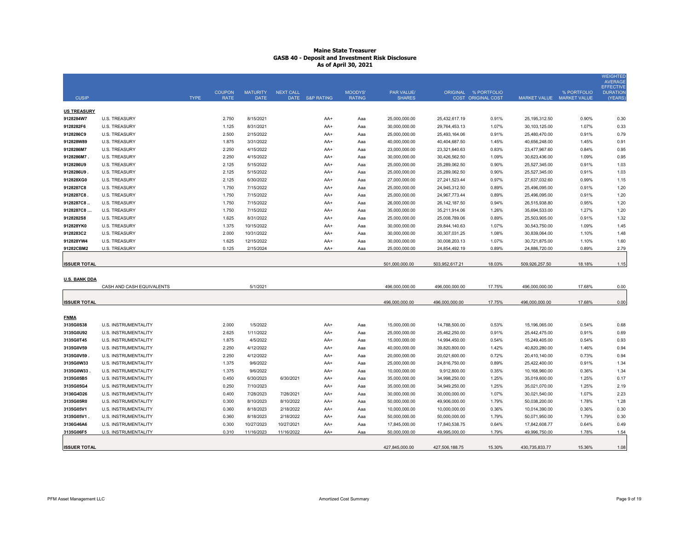|                      |                           |             |               |                 |                  |       |                |                   |                 |                           |                 |                           | <b>WEIGHTED</b><br><b>AVERAGE</b>   |
|----------------------|---------------------------|-------------|---------------|-----------------|------------------|-------|----------------|-------------------|-----------------|---------------------------|-----------------|---------------------------|-------------------------------------|
|                      |                           |             | <b>COUPON</b> | <b>MATURITY</b> | <b>NEXT CALL</b> |       | <b>MOODYS'</b> | <b>PAR VALUE/</b> |                 | ORIGINAL % PORTFOLIO      |                 | % PORTFOLIO               | <b>EFFECTIVE</b><br><b>DURATION</b> |
| <b>CUSIP</b>         |                           | <b>TYPE</b> | <b>RATE</b>   | <b>DATE</b>     | DATE S&P RATING  |       | <b>RATING</b>  | <b>SHARES</b>     |                 | <b>COST ORIGINAL COST</b> |                 | MARKET VALUE MARKET VALUE | (YEARS                              |
| <b>US TREASURY</b>   |                           |             |               |                 |                  |       |                |                   |                 |                           |                 |                           |                                     |
| 9128284W7            | <b>U.S. TREASURY</b>      |             | 2.750         | 8/15/2021       |                  | AA+   | Aaa            | 25,000,000.00     | 25,432,617.19   | 0.91%                     | 25, 195, 312.50 | 0.90%                     | 0.30                                |
| 9128282F6            | <b>U.S. TREASURY</b>      |             | 1.125         | 8/31/2021       |                  | AA+   | Aaa            | 30,000,000.00     | 29,764,453.13   | 1.07%                     | 30,103,125.00   | 1.07%                     | 0.33                                |
| 9128286C9            | <b>U.S. TREASURY</b>      |             | 2.500         | 2/15/2022       |                  | AA+   | Ааа            | 25,000,000.00     | 25,493,164.06   | 0.91%                     | 25,480,470.00   | 0.91%                     | 0.79                                |
| 912828W89            | <b>U.S. TREASURY</b>      |             | 1.875         | 3/31/2022       |                  | AA+   | Aaa            | 40,000,000.00     | 40,404,687.50   | 1.45%                     | 40,656,248.00   | 1.45%                     | 0.91                                |
| 9128286M7            | <b>U.S. TREASURY</b>      |             | 2.250         | 4/15/2022       |                  | AA+   | Ааа            | 23,000,000.00     | 23,321,640.63   | 0.83%                     | 23,477,967.60   | 0.84%                     | 0.95                                |
| 9128286M7            | <b>U.S. TREASURY</b>      |             | 2.250         | 4/15/2022       |                  | AA+   | Ааа            | 30,000,000.00     | 30,426,562.50   | 1.09%                     | 30,623,436.00   | 1.09%                     | 0.95                                |
| 9128286U9            | <b>U.S. TREASURY</b>      |             | 2.125         | 5/15/2022       |                  | AA+   | Ааа            | 25,000,000.00     | 25,289,062.50   | 0.90%                     | 25,527,345.00   | 0.91%                     | 1.03                                |
| 9128286U9            | <b>U.S. TREASURY</b>      |             | 2.125         | 5/15/2022       |                  | AA+   | Aaa            | 25,000,000.00     | 25,289,062.50   | 0.90%                     | 25,527,345.00   | 0.91%                     | 1.03                                |
| 912828XG0            | <b>U.S. TREASURY</b>      |             | 2.125         | 6/30/2022       |                  | AA+   | Ааа            | 27,000,000.00     | 27,241,523.44   | 0.97%                     | 27,637,032.60   | 0.99%                     | 1.15                                |
| 9128287C8            | <b>U.S. TREASURY</b>      |             | 1.750         | 7/15/2022       |                  | AA+   | Ааа            | 25,000,000.00     | 24,945,312.50   | 0.89%                     | 25,496,095.00   | 0.91%                     | 1.20                                |
| 9128287C8            | <b>U.S. TREASURY</b>      |             | 1.750         | 7/15/2022       |                  | AA+   | Aaa            | 25,000,000.00     | 24,967,773.44   | 0.89%                     | 25,496,095.00   | 0.91%                     | 1.20                                |
| 9128287C8            | <b>U.S. TREASURY</b>      |             | 1.750         | 7/15/2022       |                  | AA+   | Ааа            | 26,000,000.00     | 26, 142, 187.50 | 0.94%                     | 26,515,938.80   | 0.95%                     | 1.20                                |
| 9128287C8            | <b>U.S. TREASURY</b>      |             | 1.750         | 7/15/2022       |                  | AA+   | Aaa            | 35,000,000.00     | 35,211,914.06   | 1.26%                     | 35,694,533.00   | 1.27%                     | 1.20                                |
| 9128282S8            | <b>U.S. TREASURY</b>      |             | 1.625         | 8/31/2022       |                  | AA+   | Aaa            | 25,000,000.00     | 25,008,789.06   | 0.89%                     | 25,503,905.00   | 0.91%                     | 1.32                                |
| 912828YK0            | <b>U.S. TREASURY</b>      |             | 1.375         | 10/15/2022      |                  | AA+   | Ааа            | 30,000,000.00     | 29,844,140.63   | 1.07%                     | 30,543,750.00   | 1.09%                     | 1.45                                |
| 9128283C2            | <b>U.S. TREASURY</b>      |             | 2.000         | 10/31/2022      |                  | $AA+$ | Aaa            | 30,000,000.00     | 30,307,031.25   | 1.08%                     | 30,839,064.00   | 1.10%                     | 1.48                                |
| 912828YW4            | <b>U.S. TREASURY</b>      |             | 1.625         | 12/15/2022      |                  | AA+   | Aaa            | 30,000,000.00     | 30,008,203.13   | 1.07%                     | 30,721,875.00   | 1.10%                     | 1.60                                |
| 91282CBM2            | <b>U.S. TREASURY</b>      |             | 0.125         | 2/15/2024       |                  | AA+   | Aaa            | 25,000,000.00     | 24,854,492.19   | 0.89%                     | 24,886,720.00   | 0.89%                     | 2.79                                |
|                      |                           |             |               |                 |                  |       |                |                   |                 |                           |                 |                           |                                     |
| <b>ISSUER TOTAL</b>  |                           |             |               |                 |                  |       |                | 501,000,000.00    | 503,952,617.21  | 18.03%                    | 509,926,257.50  | 18.18%                    | 1.15                                |
|                      |                           |             |               |                 |                  |       |                |                   |                 |                           |                 |                           |                                     |
| <b>U.S. BANK DDA</b> |                           |             |               |                 |                  |       |                |                   |                 |                           |                 |                           |                                     |
|                      | CASH AND CASH EQUIVALENTS |             |               | 5/1/2021        |                  |       |                | 496,000,000.00    | 496,000,000.00  | 17.75%                    | 496,000,000.00  | 17.68%                    | 0.00                                |
| <b>ISSUER TOTAL</b>  |                           |             |               |                 |                  |       |                | 496,000,000.00    | 496,000,000.00  | 17.75%                    | 496,000,000.00  | 17.68%                    | 0.00                                |
|                      |                           |             |               |                 |                  |       |                |                   |                 |                           |                 |                           |                                     |
| <b>FNMA</b>          |                           |             |               |                 |                  |       |                |                   |                 |                           |                 |                           |                                     |
| 3135G0S38            | U.S. INSTRUMENTALITY      |             | 2.000         | 1/5/2022        |                  | AA+   | Aaa            | 15,000,000.00     | 14,788,500.00   | 0.53%                     | 15,196,065.00   | 0.54%                     | 0.68                                |
| 3135G0U92            | U.S. INSTRUMENTALITY      |             | 2.625         | 1/11/2022       |                  | AA+   | Aaa            | 25,000,000.00     | 25,462,250.00   | 0.91%                     | 25,442,475.00   | 0.91%                     | 0.69                                |
| 3135G0T45            | U.S. INSTRUMENTALITY      |             | 1.875         | 4/5/2022        |                  | AA+   | Aaa            | 15,000,000.00     | 14,994,450.00   | 0.54%                     | 15,249,405.00   | 0.54%                     | 0.93                                |
| 3135G0V59            | U.S. INSTRUMENTALITY      |             | 2.250         | 4/12/2022       |                  | AA+   | Aaa            | 40,000,000.00     | 39,820,800.00   | 1.42%                     | 40,820,280.00   | 1.46%                     | 0.94                                |
| 3135G0V59            | U.S. INSTRUMENTALITY      |             | 2.250         | 4/12/2022       |                  | AA+   | Aaa            | 20,000,000.00     | 20,021,600.00   | 0.72%                     | 20,410,140.00   | 0.73%                     | 0.94                                |
| 3135G0W33            | U.S. INSTRUMENTALITY      |             | 1.375         | 9/6/2022        |                  | AA+   | Aaa            | 25,000,000.00     | 24,816,750.00   | 0.89%                     | 25,422,400.00   | 0.91%                     | 1.34                                |
| 3135G0W33            | U.S. INSTRUMENTALITY      |             | 1.375         | 9/6/2022        |                  | AA+   | Ааа            | 10,000,000.00     | 9,912,800.00    | 0.35%                     | 10,168,960.00   | 0.36%                     | 1.34                                |
| 3135G05B5            | U.S. INSTRUMENTALITY      |             | 0.450         | 6/30/2023       | 6/30/2021        | AA+   | Aaa            | 35,000,000.00     | 34,998,250.00   | 1.25%                     | 35,019,600.00   | 1.25%                     | 0.17                                |
| 3135G05G4            | U.S. INSTRUMENTALITY      |             | 0.250         | 7/10/2023       |                  | AA+   | Aaa            | 35,000,000.00     | 34,949,250.00   | 1.25%                     | 35,021,070.00   | 1.25%                     | 2.19                                |
| 3136G4D26            | U.S. INSTRUMENTALITY      |             | 0.400         | 7/28/2023       | 7/28/2021        | AA+   | Aaa            | 30,000,000.00     | 30,000,000.00   | 1.07%                     | 30,021,540.00   | 1.07%                     | 2.23                                |
| 3135G05R0            | U.S. INSTRUMENTALITY      |             | 0.300         | 8/10/2023       | 8/10/2022        | AA+   | Ааа            | 50,000,000.00     | 49,906,000.00   | 1.79%                     | 50,038,200.00   | 1.78%                     | 1.28                                |
| 3135G05V1            | U.S. INSTRUMENTALITY      |             | 0.360         | 8/18/2023       | 2/18/2022        | AA+   | Aaa            | 10,000,000.00     | 10,000,000.00   | 0.36%                     | 10,014,390.00   | 0.36%                     | 0.30                                |
| 3135G05V1            | U.S. INSTRUMENTALITY      |             | 0.360         | 8/18/2023       | 2/18/2022        | AA+   | Ааа            | 50,000,000.00     | 50,000,000.00   | 1.79%                     | 50,071,950.00   | 1.79%                     | 0.30                                |
| 3136G46A6            | U.S. INSTRUMENTALITY      |             | 0.300         | 10/27/2023      | 10/27/2021       | AA+   | Aaa            | 17,845,000.00     | 17,840,538.75   | 0.64%                     | 17,842,608.77   | 0.64%                     | 0.49                                |
| 3135G06F5            | U.S. INSTRUMENTALITY      |             | 0.310         | 11/16/2023      | 11/16/2022       | AA+   | Aaa            | 50,000,000.00     | 49,995,000.00   | 1.79%                     | 49,996,750.00   | 1.78%                     | 1.54                                |
|                      |                           |             |               |                 |                  |       |                |                   |                 |                           |                 |                           |                                     |
| <b>ISSUER TOTAL</b>  |                           |             |               |                 |                  |       |                | 427,845,000.00    | 427,506,188.75  | 15.30%                    | 430,735,833.77  | 15.36%                    | 1.08                                |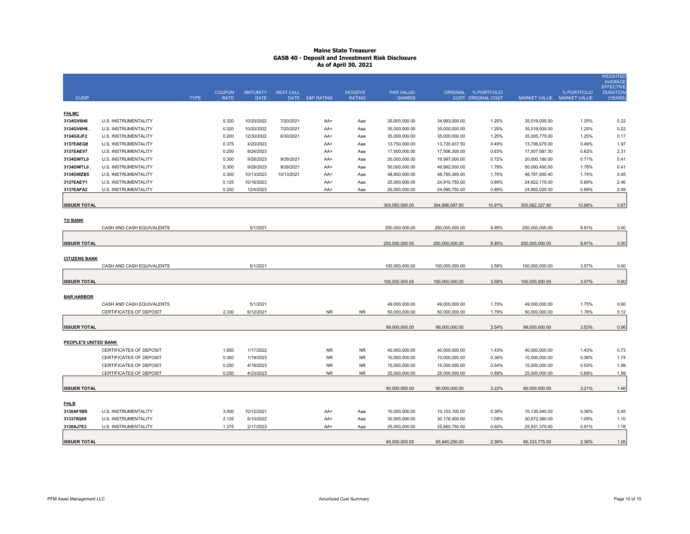|                        |                                              |             | <b>COUPON</b>  | <b>MATURITY</b>         | <b>NEXT CALL</b>        |                 | MOODYS'       | PAR VALUE/                     |                                | ORIGINAL % PORTFOLIO |                                | % PORTFOLIO    | <b>WEIGHTED</b><br><b>AVERAGE</b><br><b>EFFECTIVE</b><br><b>DURATION</b> |
|------------------------|----------------------------------------------|-------------|----------------|-------------------------|-------------------------|-----------------|---------------|--------------------------------|--------------------------------|----------------------|--------------------------------|----------------|--------------------------------------------------------------------------|
| <b>CUSIP</b>           |                                              | <b>TYPE</b> | <b>RATE</b>    | <b>DATE</b>             |                         | DATE S&P RATING | <b>RATING</b> | <b>SHARES</b>                  |                                | COST ORIGINAL COST   | MARKET VALUE MARKET VALUE      |                | (YEARS)                                                                  |
|                        |                                              |             |                |                         |                         |                 |               |                                |                                |                      |                                |                |                                                                          |
| <b>FHLMC</b>           |                                              |             |                |                         |                         |                 |               |                                |                                |                      |                                |                |                                                                          |
| 3134GV6H6              | U.S. INSTRUMENTALITY                         |             | 0.320          | 10/20/2022              | 7/20/2021               | AA+             | Aaa           | 35,000,000.00                  | 34,993,000.00                  | 1.25%                | 35,019,005.00                  | 1.25%          | 0.22                                                                     |
| 3134GV6H6              | U.S. INSTRUMENTALITY                         |             | 0.320          | 10/20/2022              | 7/20/2021               | AA+             | Aaa           | 35,000,000.00                  | 35,000,000.00                  | 1.25%                | 35,019,005.00                  | 1.25%          | 0.22                                                                     |
| 3134GXJF2              | U.S. INSTRUMENTALITY                         |             | 0.200          | 12/30/2022              | 6/30/2021               | AA+             | Aaa           | 35,000,000.00                  | 35,000,000.00                  | 1.25%                | 35,005,775.00                  | 1.25%          | 0.17                                                                     |
| 3137EAEQ8              | U.S. INSTRUMENTALITY                         |             | 0.375          | 4/20/2023               |                         | AA+             | Aaa           | 13,750,000.00                  | 13,720,437.50                  | 0.49%                | 13,798,675.00                  | 0.49%          | 1.97                                                                     |
| 3137EAEV7              | U.S. INSTRUMENTALITY                         |             | 0.250          | 8/24/2023               |                         | AA+             | Aaa           | 17,500,000.00                  | 17,506,300.00                  | 0.63%                | 17,507,087.50                  | 0.62%          | 2.31                                                                     |
| 3134GWTL0              | U.S. INSTRUMENTALITY                         |             | 0.300          | 9/28/2023               | 9/28/2021               | AA+             | Aaa           | 20,000,000.00                  | 19,997,000.00                  | 0.72%                | 20,000,180.00                  | 0.71%<br>1.78% | 0.41                                                                     |
| 3134GWTL0<br>3134GWZB5 | U.S. INSTRUMENTALITY<br>U.S. INSTRUMENTALITY |             | 0.300<br>0.300 | 9/28/2023<br>10/13/2023 | 9/28/2021<br>10/13/2021 | AA+<br>AA+      | Aaa<br>Aaa    | 50,000,000.00<br>48,800,000.00 | 49,992,500.00<br>48,785,360.00 | 1.79%<br>1.75%       | 50,000,450.00<br>48,797,950.40 | 1.74%          | 0.41<br>0.45                                                             |
| 3137EAEY1              | U.S. INSTRUMENTALITY                         |             | 0.125          | 10/16/2023              |                         | AA+             | Aaa           | 25,000,000.00                  | 24,910,750.00                  | 0.89%                | 24,922,175.00                  | 0.89%          | 2.46                                                                     |
| 3137EAFA2              | U.S. INSTRUMENTALITY                         |             | 0.250          | 12/4/2023               |                         | AA+             | Aaa           | 25,000,000.00                  | 24,990,750.00                  | 0.89%                | 24,992,025.00                  | 0.89%          | 2.59                                                                     |
|                        |                                              |             |                |                         |                         |                 |               |                                |                                |                      |                                |                |                                                                          |
| <b>ISSUER TOTAL</b>    |                                              |             |                |                         |                         |                 |               | 305,050,000.00                 | 304,896,097.50                 | 10.91%               | 305,062,327.90                 | 10.88%         | 0.87                                                                     |
|                        |                                              |             |                |                         |                         |                 |               |                                |                                |                      |                                |                |                                                                          |
| <b>TD BANK</b>         |                                              |             |                |                         |                         |                 |               |                                |                                |                      |                                |                |                                                                          |
|                        | CASH AND CASH EQUIVALENTS                    |             |                | 5/1/2021                |                         |                 |               | 250,000,000.00                 | 250,000,000.00                 | 8.95%                | 250,000,000.00                 | 8.91%          | 0.00                                                                     |
|                        |                                              |             |                |                         |                         |                 |               |                                |                                |                      |                                |                |                                                                          |
| <b>ISSUER TOTAL</b>    |                                              |             |                |                         |                         |                 |               | 250,000,000.00                 | 250,000,000.00                 | 8.95%                | 250,000,000.00                 | 8.91%          | 0.00                                                                     |
|                        |                                              |             |                |                         |                         |                 |               |                                |                                |                      |                                |                |                                                                          |
| <b>CITIZENS BANK</b>   |                                              |             |                |                         |                         |                 |               |                                |                                |                      |                                |                |                                                                          |
|                        | CASH AND CASH EQUIVALENTS                    |             |                | 5/1/2021                |                         |                 |               | 100,000,000.00                 | 100,000,000.00                 | 3.58%                | 100,000,000.00                 | 3.57%          | 0.00                                                                     |
|                        |                                              |             |                |                         |                         |                 |               |                                |                                |                      |                                |                |                                                                          |
| <b>ISSUER TOTAL</b>    |                                              |             |                |                         |                         |                 |               | 100,000,000.00                 | 100,000,000.00                 | 3.58%                | 100,000,000.00                 | 3.57%          | 0.00                                                                     |
|                        |                                              |             |                |                         |                         |                 |               |                                |                                |                      |                                |                |                                                                          |
| <b>BAR HARBOR</b>      | CASH AND CASH EQUIVALENTS                    |             |                |                         |                         |                 |               |                                |                                |                      |                                |                |                                                                          |
|                        | CERTIFICATES OF DEPOSIT                      |             | 2.330          | 5/1/2021<br>6/12/2021   |                         | <b>NR</b>       | <b>NR</b>     | 49,000,000.00<br>50,000,000.00 | 49,000,000.00<br>50,000,000.00 | 1.75%<br>1.79%       | 49,000,000.00<br>50,000,000.00 | 1.75%<br>1.78% | 0.00<br>0.12                                                             |
|                        |                                              |             |                |                         |                         |                 |               |                                |                                |                      |                                |                |                                                                          |
| <b>ISSUER TOTAL</b>    |                                              |             |                |                         |                         |                 |               | 99,000,000.00                  | 99,000,000.00                  | 3.54%                | 99,000,000.00                  | 3.53%          | 0.06                                                                     |
|                        |                                              |             |                |                         |                         |                 |               |                                |                                |                      |                                |                |                                                                          |
| PEOPLE'S UNITED BANK   |                                              |             |                |                         |                         |                 |               |                                |                                |                      |                                |                |                                                                          |
|                        | CERTIFICATES OF DEPOSIT                      |             | 1.650          | 1/17/2022               |                         | <b>NR</b>       | <b>NR</b>     | 40,000,000.00                  | 40,000,000.00                  | 1.43%                | 40,000,000.00                  | 1.43%          | 0.73                                                                     |
|                        | CERTIFICATES OF DEPOSIT                      |             | 0.350          | 1/19/2023               |                         | <b>NR</b>       | <b>NR</b>     | 10,000,000.00                  | 10,000,000.00                  | 0.36%                | 10,000,000.00                  | 0.36%          | 1.74                                                                     |
|                        | CERTIFICATES OF DEPOSIT                      |             | 0.250          | 4/18/2023               |                         | <b>NR</b>       | <b>NR</b>     | 15,000,000.00                  | 15,000,000.00                  | 0.54%                | 15,000,000.00                  | 0.53%          | 1.99                                                                     |
|                        | CERTIFICATES OF DEPOSIT                      |             | 0.250          | 4/23/2023               |                         | <b>NR</b>       | <b>NR</b>     | 25,000,000.00                  | 25,000,000.00                  | 0.89%                | 25,000,000.00                  | 0.89%          | 1.99                                                                     |
|                        |                                              |             |                |                         |                         |                 |               |                                |                                |                      |                                |                |                                                                          |
| <b>ISSUER TOTAL</b>    |                                              |             |                |                         |                         |                 |               | 90,000,000.00                  | 90,000,000.00                  | 3.22%                | 90,000,000.00                  | 3.21%          | 1.40                                                                     |
|                        |                                              |             |                |                         |                         |                 |               |                                |                                |                      |                                |                |                                                                          |
| <b>FHLB</b>            |                                              |             |                |                         |                         |                 |               |                                |                                |                      |                                |                |                                                                          |
| 3130AF5B9              | <b>U.S. INSTRUMENTALITY</b>                  |             | 3.000          | 10/12/2021              |                         | AA+             | Aaa           | 10,000,000.00                  | 10,103,100.00                  | 0.36%                | 10,130,040.00                  | 0.36%          | 0.45                                                                     |
| 313379Q69              | <b>U.S. INSTRUMENTALITY</b>                  |             | 2.125          | 6/10/2022               |                         | AA+             | Aaa           | 30,000,000.00                  | 30,176,400.00                  | 1.08%                | 30,672,360.00                  | 1.09%          | 1.10                                                                     |
| 3130AJ7E3              | <b>U.S. INSTRUMENTALITY</b>                  |             | 1.375          | 2/17/2023               |                         | AA+             | Aaa           | 25,000,000.00                  | 25,660,750.00                  | 0.92%                | 25,531,375.00                  | 0.91%          | 1.78                                                                     |
|                        |                                              |             |                |                         |                         |                 |               |                                |                                |                      |                                |                |                                                                          |
| <b>ISSUER TOTAL</b>    |                                              |             |                |                         |                         |                 |               | 65,000,000.00                  | 65,940,250.00                  | 2.36%                | 66,333,775.00                  | 2.36%          | 1.26                                                                     |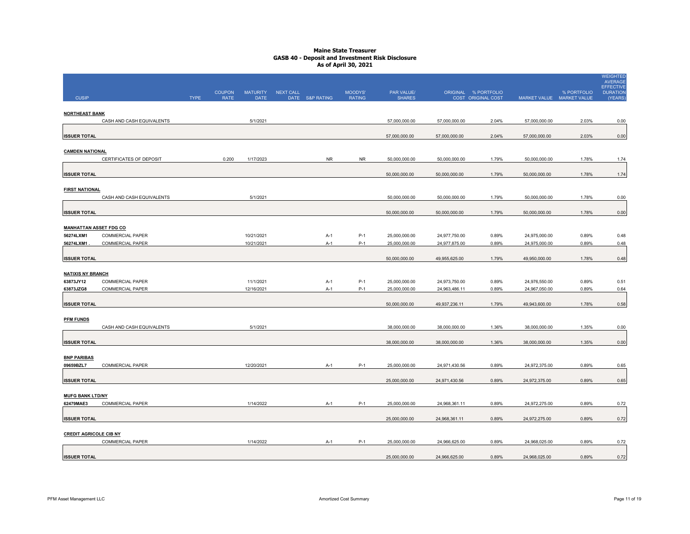|                                            |                           |             |               |                 |           |                 |               |               |               |                      |                           |             | <b>WEIGHTED</b><br><b>AVERAGE</b> |
|--------------------------------------------|---------------------------|-------------|---------------|-----------------|-----------|-----------------|---------------|---------------|---------------|----------------------|---------------------------|-------------|-----------------------------------|
|                                            |                           |             | <b>COUPON</b> | <b>MATURITY</b> | NEXT CALL |                 | MOODYS'       | PAR VALUE/    |               | ORIGINAL % PORTFOLIO |                           | % PORTFOLIO | EFFECTIVE<br><b>DURATION</b>      |
| <b>CUSIP</b>                               |                           | <b>TYPE</b> | <b>RATE</b>   | <b>DATE</b>     |           | DATE S&P RATING | <b>RATING</b> | <b>SHARES</b> |               | COST ORIGINAL COST   | MARKET VALUE MARKET VALUE |             | (YEARS)                           |
| <b>NORTHEAST BANK</b>                      |                           |             |               |                 |           |                 |               |               |               |                      |                           |             |                                   |
|                                            | CASH AND CASH EQUIVALENTS |             |               | 5/1/2021        |           |                 |               | 57,000,000.00 | 57,000,000.00 | 2.04%                | 57,000,000.00             | 2.03%       | 0.00                              |
| <b>ISSUER TOTAL</b>                        |                           |             |               |                 |           |                 |               | 57,000,000.00 | 57,000,000.00 | 2.04%                | 57,000,000.00             | 2.03%       | 0.00                              |
| <b>CAMDEN NATIONAL</b>                     |                           |             |               |                 |           |                 |               |               |               |                      |                           |             |                                   |
|                                            | CERTIFICATES OF DEPOSIT   |             | 0.200         | 1/17/2023       |           | <b>NR</b>       | <b>NR</b>     | 50,000,000.00 | 50,000,000.00 | 1.79%                | 50,000,000.00             | 1.78%       | 1.74                              |
|                                            |                           |             |               |                 |           |                 |               |               |               |                      |                           |             |                                   |
| <b>ISSUER TOTAL</b>                        |                           |             |               |                 |           |                 |               | 50,000,000.00 | 50,000,000.00 | 1.79%                | 50,000,000.00             | 1.78%       | 1.74                              |
| <b>FIRST NATIONAL</b>                      |                           |             |               |                 |           |                 |               |               |               |                      |                           |             |                                   |
|                                            | CASH AND CASH EQUIVALENTS |             |               | 5/1/2021        |           |                 |               | 50,000,000.00 | 50,000,000.00 | 1.79%                | 50,000,000.00             | 1.78%       | 0.00                              |
| <b>ISSUER TOTAL</b>                        |                           |             |               |                 |           |                 |               | 50,000,000.00 | 50,000,000.00 | 1.79%                | 50,000,000.00             | 1.78%       | 0.00                              |
|                                            |                           |             |               |                 |           |                 |               |               |               |                      |                           |             |                                   |
| <b>MANHATTAN ASSET FDG CO</b><br>56274LXM1 | <b>COMMERCIAL PAPER</b>   |             |               | 10/21/2021      |           | $A-1$           | $P-1$         | 25,000,000.00 | 24,977,750.00 | 0.89%                | 24,975,000.00             | 0.89%       | 0.48                              |
| 56274LXM1                                  | <b>COMMERCIAL PAPER</b>   |             |               | 10/21/2021      |           | $A-1$           | $P-1$         | 25,000,000.00 | 24,977,875.00 | 0.89%                | 24,975,000.00             | 0.89%       | 0.48                              |
|                                            |                           |             |               |                 |           |                 |               |               |               |                      |                           |             |                                   |
| <b>ISSUER TOTAL</b>                        |                           |             |               |                 |           |                 |               | 50,000,000.00 | 49,955,625.00 | 1.79%                | 49,950,000.00             | 1.78%       | 0.48                              |
| <b>NATIXIS NY BRANCH</b>                   |                           |             |               |                 |           |                 |               |               |               |                      |                           |             |                                   |
| 63873JY12                                  | <b>COMMERCIAL PAPER</b>   |             |               | 11/1/2021       |           | $A-1$           | $P-1$         | 25,000,000.00 | 24,973,750.00 | 0.89%                | 24,976,550.00             | 0.89%       | 0.51                              |
| 63873JZG8                                  | COMMERCIAL PAPER          |             |               | 12/16/2021      |           | $A-1$           | $P-1$         | 25,000,000.00 | 24,963,486.11 | 0.89%                | 24,967,050.00             | 0.89%       | 0.64                              |
| <b>ISSUER TOTAL</b>                        |                           |             |               |                 |           |                 |               | 50,000,000.00 | 49,937,236.11 | 1.79%                | 49,943,600.00             | 1.78%       | 0.58                              |
| <b>PFM FUNDS</b>                           |                           |             |               |                 |           |                 |               |               |               |                      |                           |             |                                   |
|                                            | CASH AND CASH EQUIVALENTS |             |               | 5/1/2021        |           |                 |               | 38,000,000.00 | 38,000,000.00 | 1.36%                | 38,000,000.00             | 1.35%       | 0.00                              |
| <b>ISSUER TOTAL</b>                        |                           |             |               |                 |           |                 |               | 38,000,000.00 | 38,000,000.00 | 1.36%                | 38,000,000.00             | 1.35%       | 0.00                              |
|                                            |                           |             |               |                 |           |                 |               |               |               |                      |                           |             |                                   |
| <b>BNP PARIBAS</b>                         |                           |             |               |                 |           |                 |               |               |               |                      |                           |             |                                   |
| 09659BZL7                                  | <b>COMMERCIAL PAPER</b>   |             |               | 12/20/2021      |           | $A-1$           | P-1           | 25,000,000.00 | 24,971,430.56 | 0.89%                | 24,972,375.00             | 0.89%       | 0.65                              |
| <b>ISSUER TOTAL</b>                        |                           |             |               |                 |           |                 |               | 25,000,000.00 | 24,971,430.56 | 0.89%                | 24,972,375.00             | 0.89%       | 0.65                              |
|                                            |                           |             |               |                 |           |                 |               |               |               |                      |                           |             |                                   |
| <b>MUFG BANK LTD/NY</b><br>62479MAE3       | COMMERCIAL PAPER          |             |               | 1/14/2022       |           | A-1             | P-1           | 25,000,000.00 | 24,968,361.11 | 0.89%                | 24,972,275.00             | 0.89%       | 0.72                              |
|                                            |                           |             |               |                 |           |                 |               |               |               |                      |                           |             |                                   |
| <b>ISSUER TOTAL</b>                        |                           |             |               |                 |           |                 |               | 25,000,000.00 | 24,968,361.11 | 0.89%                | 24,972,275.00             | 0.89%       | 0.72                              |
| <b>CREDIT AGRICOLE CIB NY</b>              |                           |             |               |                 |           |                 |               |               |               |                      |                           |             |                                   |
|                                            | <b>COMMERCIAL PAPER</b>   |             |               | 1/14/2022       |           | A-1             | P-1           | 25,000,000.00 | 24,966,625.00 | 0.89%                | 24,968,025.00             | 0.89%       | 0.72                              |
| <b>ISSUER TOTAL</b>                        |                           |             |               |                 |           |                 |               | 25,000,000.00 | 24,966,625.00 | 0.89%                | 24,968,025.00             | 0.89%       | 0.72                              |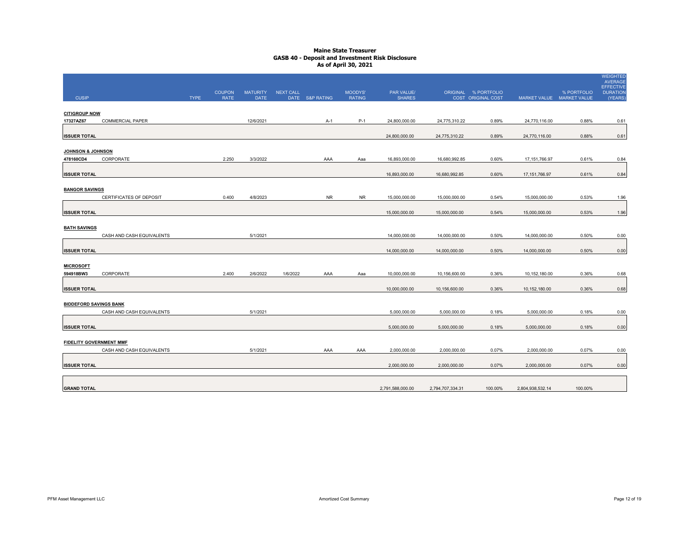|                                |                           |             | <b>COUPON</b> | <b>MATURITY</b> | <b>NEXT CALL</b> |                 | <b>MOODYS'</b> | PAR VALUE/       |                  | ORIGINAL % PORTFOLIO      |                           | % PORTFOLIO | <b>WEIGHTED</b><br><b>AVERAGE</b><br><b>EFFECTIVE</b><br><b>DURATION</b> |
|--------------------------------|---------------------------|-------------|---------------|-----------------|------------------|-----------------|----------------|------------------|------------------|---------------------------|---------------------------|-------------|--------------------------------------------------------------------------|
| <b>CUSIP</b>                   |                           | <b>TYPE</b> | <b>RATE</b>   | <b>DATE</b>     |                  | DATE S&P RATING | <b>RATING</b>  | <b>SHARES</b>    |                  | <b>COST ORIGINAL COST</b> | MARKET VALUE MARKET VALUE |             | (YEARS)                                                                  |
|                                |                           |             |               |                 |                  |                 |                |                  |                  |                           |                           |             |                                                                          |
| <b>CITIGROUP NOW</b>           |                           |             |               |                 |                  |                 |                |                  |                  |                           |                           |             |                                                                          |
| 17327AZ67                      | <b>COMMERCIAL PAPER</b>   |             |               | 12/6/2021       |                  | A-1             | $P-1$          | 24,800,000.00    | 24,775,310.22    | 0.89%                     | 24,770,116.00             | 0.88%       | 0.61                                                                     |
| <b>ISSUER TOTAL</b>            |                           |             |               |                 |                  |                 |                | 24,800,000.00    | 24,775,310.22    | 0.89%                     | 24,770,116.00             | 0.88%       | 0.61                                                                     |
| JOHNSON & JOHNSON              |                           |             |               |                 |                  |                 |                |                  |                  |                           |                           |             |                                                                          |
| 478160CD4                      | CORPORATE                 |             | 2.250         | 3/3/2022        |                  | AAA             | Aaa            | 16,893,000.00    | 16,680,992.85    | 0.60%                     | 17, 151, 766. 97          | 0.61%       | 0.84                                                                     |
|                                |                           |             |               |                 |                  |                 |                |                  |                  |                           |                           |             |                                                                          |
| <b>ISSUER TOTAL</b>            |                           |             |               |                 |                  |                 |                | 16,893,000.00    | 16,680,992.85    | 0.60%                     | 17, 151, 766.97           | 0.61%       | 0.84                                                                     |
| <b>BANGOR SAVINGS</b>          |                           |             |               |                 |                  |                 |                |                  |                  |                           |                           |             |                                                                          |
|                                | CERTIFICATES OF DEPOSIT   |             | 0.400         | 4/8/2023        |                  | <b>NR</b>       | <b>NR</b>      | 15,000,000.00    | 15,000,000.00    | 0.54%                     | 15,000,000.00             | 0.53%       | 1.96                                                                     |
|                                |                           |             |               |                 |                  |                 |                |                  |                  |                           |                           |             |                                                                          |
| <b>ISSUER TOTAL</b>            |                           |             |               |                 |                  |                 |                | 15,000,000.00    | 15,000,000.00    | 0.54%                     | 15,000,000.00             | 0.53%       | 1.96                                                                     |
|                                |                           |             |               |                 |                  |                 |                |                  |                  |                           |                           |             |                                                                          |
| <b>BATH SAVINGS</b>            |                           |             |               |                 |                  |                 |                |                  |                  |                           |                           |             |                                                                          |
|                                | CASH AND CASH EQUIVALENTS |             |               | 5/1/2021        |                  |                 |                | 14,000,000.00    | 14,000,000.00    | 0.50%                     | 14,000,000.00             | 0.50%       | 0.00                                                                     |
| <b>ISSUER TOTAL</b>            |                           |             |               |                 |                  |                 |                | 14,000,000.00    | 14,000,000.00    | 0.50%                     | 14,000,000.00             | 0.50%       | 0.00                                                                     |
|                                |                           |             |               |                 |                  |                 |                |                  |                  |                           |                           |             |                                                                          |
| <b>MICROSOFT</b>               |                           |             |               |                 |                  |                 |                |                  |                  |                           |                           |             |                                                                          |
| 594918BW3                      | CORPORATE                 |             | 2.400         | 2/6/2022        | 1/6/2022         | AAA             | Aaa            | 10,000,000.00    | 10,156,600.00    | 0.36%                     | 10,152,180.00             | 0.36%       | 0.68                                                                     |
|                                |                           |             |               |                 |                  |                 |                |                  |                  |                           |                           |             |                                                                          |
| <b>ISSUER TOTAL</b>            |                           |             |               |                 |                  |                 |                | 10,000,000.00    | 10,156,600.00    | 0.36%                     | 10, 152, 180.00           | 0.36%       | 0.68                                                                     |
| <b>BIDDEFORD SAVINGS BANK</b>  |                           |             |               |                 |                  |                 |                |                  |                  |                           |                           |             |                                                                          |
|                                | CASH AND CASH EQUIVALENTS |             |               | 5/1/2021        |                  |                 |                | 5,000,000.00     | 5,000,000.00     | 0.18%                     | 5,000,000.00              | 0.18%       | 0.00                                                                     |
|                                |                           |             |               |                 |                  |                 |                |                  |                  |                           |                           |             |                                                                          |
| <b>ISSUER TOTAL</b>            |                           |             |               |                 |                  |                 |                | 5,000,000.00     | 5,000,000.00     | 0.18%                     | 5,000,000.00              | 0.18%       | 0.00                                                                     |
|                                |                           |             |               |                 |                  |                 |                |                  |                  |                           |                           |             |                                                                          |
| <b>FIDELITY GOVERNMENT MMF</b> |                           |             |               |                 |                  |                 |                |                  |                  |                           |                           |             |                                                                          |
|                                | CASH AND CASH EQUIVALENTS |             |               | 5/1/2021        |                  | AAA             | AAA            | 2,000,000.00     | 2,000,000.00     | 0.07%                     | 2,000,000.00              | 0.07%       | 0.00                                                                     |
|                                |                           |             |               |                 |                  |                 |                |                  |                  |                           |                           |             |                                                                          |
| <b>ISSUER TOTAL</b>            |                           |             |               |                 |                  |                 |                | 2,000,000.00     | 2,000,000.00     | 0.07%                     | 2,000,000.00              | 0.07%       | 0.00                                                                     |
|                                |                           |             |               |                 |                  |                 |                |                  |                  |                           |                           |             |                                                                          |
| <b>GRAND TOTAL</b>             |                           |             |               |                 |                  |                 |                | 2,791,588,000.00 | 2,794,707,334.31 | 100.00%                   | 2,804,938,532.14          | 100.00%     |                                                                          |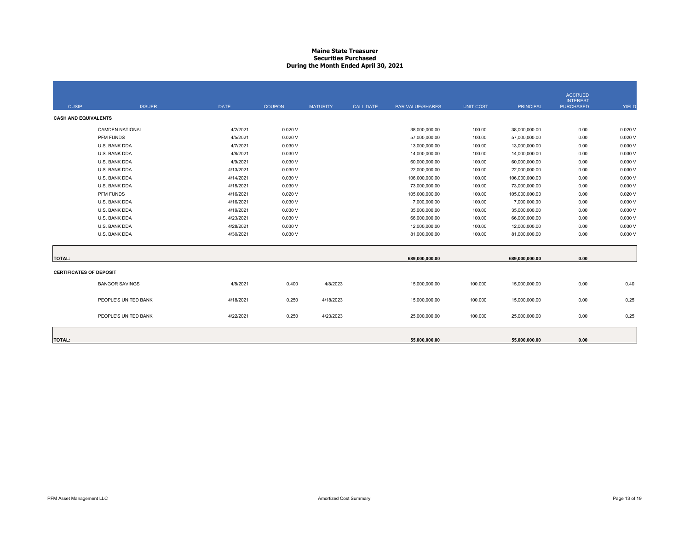## **Maine State Treasurer Securities PurchasedDuring the Month Ended April 30, 2021**

| <b>CUSIP</b>                   | <b>ISSUER</b>          | <b>DATE</b> | <b>COUPON</b> | <b>MATURITY</b> | <b>CALL DATE</b> | PAR VALUE/SHARES | <b>UNIT COST</b> | <b>PRINCIPAL</b> | <b>ACCRUED</b><br><b>INTEREST</b><br><b>PURCHASED</b> | YIELD   |
|--------------------------------|------------------------|-------------|---------------|-----------------|------------------|------------------|------------------|------------------|-------------------------------------------------------|---------|
| <b>CASH AND EQUIVALENTS</b>    |                        |             |               |                 |                  |                  |                  |                  |                                                       |         |
|                                | <b>CAMDEN NATIONAL</b> | 4/2/2021    | 0.020V        |                 |                  | 38,000,000.00    | 100.00           | 38,000,000.00    | 0.00                                                  | 0.020V  |
|                                | PFM FUNDS              | 4/5/2021    | 0.020V        |                 |                  | 57,000,000.00    | 100.00           | 57,000,000.00    | 0.00                                                  | 0.020V  |
|                                | U.S. BANK DDA          | 4/7/2021    | 0.030V        |                 |                  | 13,000,000.00    | 100.00           | 13,000,000.00    | 0.00                                                  | 0.030 V |
|                                | U.S. BANK DDA          | 4/8/2021    | 0.030V        |                 |                  | 14,000,000.00    | 100.00           | 14,000,000.00    | 0.00                                                  | 0.030 V |
|                                | U.S. BANK DDA          | 4/9/2021    | 0.030V        |                 |                  | 60,000,000.00    | 100.00           | 60,000,000.00    | 0.00                                                  | 0.030 V |
|                                | U.S. BANK DDA          | 4/13/2021   | 0.030V        |                 |                  | 22,000,000.00    | 100.00           | 22,000,000.00    | 0.00                                                  | 0.030 V |
|                                | U.S. BANK DDA          | 4/14/2021   | 0.030V        |                 |                  | 106,000,000.00   | 100.00           | 106,000,000.00   | 0.00                                                  | 0.030 V |
|                                | U.S. BANK DDA          | 4/15/2021   | 0.030V        |                 |                  | 73,000,000.00    | 100.00           | 73,000,000.00    | 0.00                                                  | 0.030 V |
|                                | PFM FUNDS              | 4/16/2021   | 0.020V        |                 |                  | 105,000,000.00   | 100.00           | 105,000,000.00   | 0.00                                                  | 0.020V  |
|                                | U.S. BANK DDA          | 4/16/2021   | 0.030V        |                 |                  | 7,000,000.00     | 100.00           | 7,000,000.00     | 0.00                                                  | 0.030 V |
|                                | U.S. BANK DDA          | 4/19/2021   | 0.030V        |                 |                  | 35,000,000.00    | 100.00           | 35,000,000.00    | 0.00                                                  | 0.030V  |
|                                | U.S. BANK DDA          | 4/23/2021   | 0.030V        |                 |                  | 66,000,000.00    | 100.00           | 66,000,000.00    | 0.00                                                  | 0.030 V |
|                                | U.S. BANK DDA          | 4/28/2021   | 0.030V        |                 |                  | 12,000,000.00    | 100.00           | 12,000,000.00    | 0.00                                                  | 0.030 V |
|                                | U.S. BANK DDA          | 4/30/2021   | 0.030 V       |                 |                  | 81,000,000.00    | 100.00           | 81,000,000.00    | 0.00                                                  | 0.030 V |
|                                |                        |             |               |                 |                  |                  |                  |                  |                                                       |         |
| <b>TOTAL:</b>                  |                        |             |               |                 |                  | 689,000,000.00   |                  | 689,000,000.00   | 0.00                                                  |         |
| <b>CERTIFICATES OF DEPOSIT</b> |                        |             |               |                 |                  |                  |                  |                  |                                                       |         |
|                                | <b>BANGOR SAVINGS</b>  | 4/8/2021    | 0.400         | 4/8/2023        |                  | 15,000,000.00    | 100.000          | 15,000,000.00    | 0.00                                                  | 0.40    |
|                                | PEOPLE'S UNITED BANK   | 4/18/2021   | 0.250         | 4/18/2023       |                  | 15,000,000.00    | 100.000          | 15,000,000.00    | 0.00                                                  | 0.25    |
|                                | PEOPLE'S UNITED BANK   | 4/22/2021   | 0.250         | 4/23/2023       |                  | 25,000,000.00    | 100.000          | 25,000,000.00    | 0.00                                                  | 0.25    |
| <b>TOTAL:</b>                  |                        |             |               |                 |                  | 55.000.000.00    |                  | 55.000.000.00    | 0.00                                                  |         |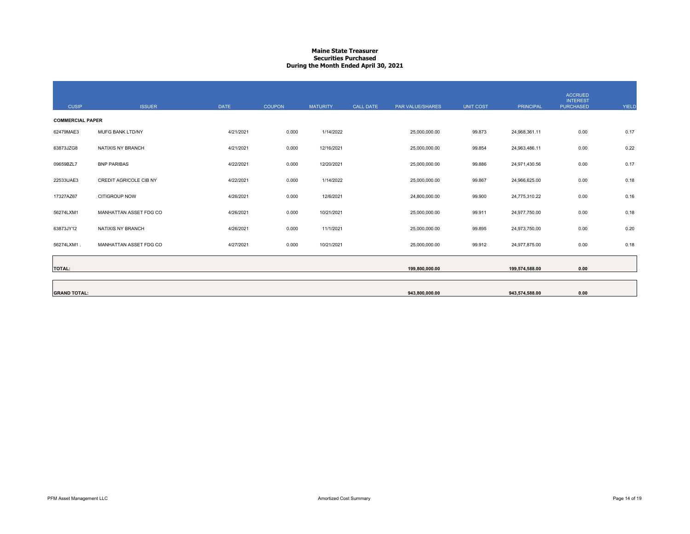## **Maine State Treasurer Securities PurchasedDuring the Month Ended April 30, 2021**

| <b>CUSIP</b>            | <b>ISSUER</b>          | <b>DATE</b> | <b>COUPON</b> | <b>MATURITY</b> | <b>CALL DATE</b> | PAR VALUE/SHARES | <b>UNIT COST</b> | <b>PRINCIPAL</b> | <b>ACCRUED</b><br><b>INTEREST</b><br><b>PURCHASED</b> | YIELD |
|-------------------------|------------------------|-------------|---------------|-----------------|------------------|------------------|------------------|------------------|-------------------------------------------------------|-------|
| <b>COMMERCIAL PAPER</b> |                        |             |               |                 |                  |                  |                  |                  |                                                       |       |
| 62479MAE3               | MUFG BANK LTD/NY       | 4/21/2021   | 0.000         | 1/14/2022       |                  | 25,000,000.00    | 99.873           | 24,968,361.11    | 0.00                                                  | 0.17  |
| 63873JZG8               | NATIXIS NY BRANCH      | 4/21/2021   | 0.000         | 12/16/2021      |                  | 25,000,000.00    | 99.854           | 24,963,486.11    | 0.00                                                  | 0.22  |
| 09659BZL7               | <b>BNP PARIBAS</b>     | 4/22/2021   | 0.000         | 12/20/2021      |                  | 25,000,000.00    | 99.886           | 24,971,430.56    | 0.00                                                  | 0.17  |
| 22533UAE3               | CREDIT AGRICOLE CIB NY | 4/22/2021   | 0.000         | 1/14/2022       |                  | 25,000,000.00    | 99.867           | 24,966,625.00    | 0.00                                                  | 0.18  |
| 17327AZ67               | CITIGROUP NOW          | 4/26/2021   | 0.000         | 12/6/2021       |                  | 24,800,000.00    | 99.900           | 24,775,310.22    | 0.00                                                  | 0.16  |
| 56274LXM1               | MANHATTAN ASSET FDG CO | 4/26/2021   | 0.000         | 10/21/2021      |                  | 25,000,000.00    | 99.911           | 24,977,750.00    | 0.00                                                  | 0.18  |
| 63873JY12               | NATIXIS NY BRANCH      | 4/26/2021   | 0.000         | 11/1/2021       |                  | 25,000,000.00    | 99.895           | 24,973,750.00    | 0.00                                                  | 0.20  |
| 56274LXM1.              | MANHATTAN ASSET FDG CO | 4/27/2021   | 0.000         | 10/21/2021      |                  | 25,000,000.00    | 99.912           | 24,977,875.00    | 0.00                                                  | 0.18  |
| <b>TOTAL:</b>           |                        |             |               |                 |                  | 199,800,000.00   |                  | 199,574,588.00   | 0.00                                                  |       |
|                         |                        |             |               |                 |                  |                  |                  |                  |                                                       |       |
| <b>GRAND TOTAL:</b>     |                        |             |               |                 |                  | 943,800,000.00   |                  | 943,574,588.00   | 0.00                                                  |       |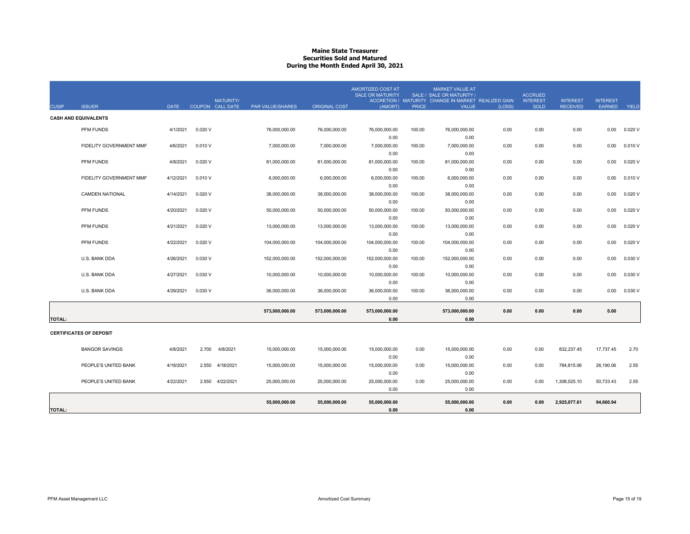## **Maine State Treasurer Securities Sold and MaturedDuring the Month Ended April 30, 2021**

|               |                                |             |         |                                             |                         |                      | <b>AMORTIZED COST AT</b><br><b>SALE OR MATURITY</b> |              | <b>MARKET VALUE AT</b><br>SALE / SALE OR MATURITY /                 |        | <b>ACCRUED</b>                 |                                    |                                  |              |
|---------------|--------------------------------|-------------|---------|---------------------------------------------|-------------------------|----------------------|-----------------------------------------------------|--------------|---------------------------------------------------------------------|--------|--------------------------------|------------------------------------|----------------------------------|--------------|
| <b>CUSIP</b>  | <b>ISSUER</b>                  | <b>DATE</b> |         | <b>MATURITY/</b><br><b>COUPON CALL DATE</b> | <b>PAR VALUE/SHARES</b> | <b>ORIGINAL COST</b> | (AMORT)                                             | <b>PRICE</b> | ACCRETION / MATURITY CHANGE IN MARKET REALIZED GAIN<br><b>VALUE</b> | (LOSS) | <b>INTEREST</b><br><b>SOLD</b> | <b>INTEREST</b><br><b>RECEIVED</b> | <b>INTEREST</b><br><b>EARNED</b> | <b>YIELD</b> |
|               | <b>CASH AND EQUIVALENTS</b>    |             |         |                                             |                         |                      |                                                     |              |                                                                     |        |                                |                                    |                                  |              |
|               |                                |             |         |                                             |                         |                      |                                                     |              |                                                                     |        |                                |                                    |                                  |              |
|               | PFM FUNDS                      | 4/1/2021    | 0.020V  |                                             | 76,000,000.00           | 76,000,000.00        | 76,000,000.00                                       | 100.00       | 76,000,000.00                                                       | 0.00   | 0.00                           | 0.00                               | 0.00                             | 0.020V       |
|               | FIDELITY GOVERNMENT MMF        | 4/6/2021    | 0.010V  |                                             | 7,000,000.00            | 7,000,000.00         | 0.00<br>7,000,000.00                                | 100.00       | 0.00<br>7,000,000.00                                                | 0.00   |                                | 0.00                               | 0.00                             | 0.010V       |
|               |                                |             |         |                                             |                         |                      | 0.00                                                |              | 0.00                                                                |        | 0.00                           |                                    |                                  |              |
|               | PFM FUNDS                      | 4/8/2021    | 0.020V  |                                             | 81,000,000.00           | 81,000,000.00        | 81,000,000.00                                       | 100.00       | 81,000,000.00                                                       | 0.00   | 0.00                           | 0.00                               | 0.00                             | 0.020V       |
|               |                                |             |         |                                             |                         |                      | 0.00                                                |              | 0.00                                                                |        |                                |                                    |                                  |              |
|               | FIDELITY GOVERNMENT MMF        | 4/12/2021   | 0.010V  |                                             | 6,000,000.00            | 6,000,000.00         | 6,000,000.00                                        | 100.00       | 6,000,000.00                                                        | 0.00   | 0.00                           | 0.00                               | 0.00                             | 0.010V       |
|               |                                |             |         |                                             |                         |                      | 0.00                                                |              | 0.00                                                                |        |                                |                                    |                                  |              |
|               | <b>CAMDEN NATIONAL</b>         | 4/14/2021   | 0.020V  |                                             | 38,000,000.00           | 38,000,000.00        | 38,000,000.00                                       | 100.00       | 38,000,000.00                                                       | 0.00   | 0.00                           | 0.00                               | 0.00                             | 0.020V       |
|               |                                |             |         |                                             |                         |                      | 0.00                                                |              | 0.00                                                                |        |                                |                                    |                                  |              |
|               | PFM FUNDS                      | 4/20/2021   | 0.020V  |                                             | 50,000,000.00           | 50,000,000.00        | 50,000,000.00                                       | 100.00       | 50,000,000.00                                                       | 0.00   | 0.00                           | 0.00                               | 0.00                             | 0.020V       |
|               |                                |             |         |                                             |                         |                      | 0.00                                                |              | 0.00                                                                |        |                                |                                    |                                  |              |
|               | PFM FUNDS                      | 4/21/2021   | 0.020V  |                                             | 13,000,000.00           | 13,000,000.00        | 13,000,000.00                                       | 100.00       | 13,000,000.00                                                       | 0.00   | 0.00                           | 0.00                               | 0.00                             | 0.020V       |
|               |                                |             |         |                                             |                         |                      | 0.00                                                |              | 0.00                                                                |        |                                |                                    |                                  |              |
|               | PFM FUNDS                      | 4/22/2021   | 0.020V  |                                             | 104,000,000.00          | 104,000,000.00       | 104,000,000.00                                      | 100.00       | 104,000,000.00                                                      | 0.00   | 0.00                           | 0.00                               | 0.00                             | 0.020V       |
|               |                                |             |         |                                             |                         |                      | 0.00                                                |              | 0.00                                                                |        |                                |                                    |                                  |              |
|               | U.S. BANK DDA                  | 4/26/2021   | 0.030V  |                                             | 152,000,000.00          | 152,000,000.00       | 152,000,000.00                                      | 100.00       | 152,000,000.00                                                      | 0.00   | 0.00                           | 0.00                               | 0.00                             | 0.030 V      |
|               |                                |             |         |                                             |                         |                      | 0.00                                                |              | 0.00                                                                |        |                                |                                    |                                  |              |
|               | U.S. BANK DDA                  | 4/27/2021   | 0.030V  |                                             | 10,000,000.00           | 10,000,000.00        | 10,000,000.00                                       | 100.00       | 10,000,000.00                                                       | 0.00   | 0.00                           | 0.00                               | 0.00                             | 0.030 V      |
|               |                                |             |         |                                             |                         |                      | 0.00                                                |              | 0.00                                                                |        |                                |                                    |                                  |              |
|               | U.S. BANK DDA                  | 4/29/2021   | 0.030 V |                                             | 36,000,000.00           | 36,000,000.00        | 36,000,000.00                                       | 100.00       | 36,000,000.00                                                       | 0.00   | 0.00                           | 0.00                               | 0.00                             | 0.030 V      |
|               |                                |             |         |                                             |                         |                      | 0.00                                                |              | 0.00                                                                |        |                                |                                    |                                  |              |
|               |                                |             |         |                                             | 573,000,000.00          | 573,000,000.00       | 573,000,000.00                                      |              | 573,000,000.00                                                      | 0.00   | 0.00                           | 0.00                               | 0.00                             |              |
| <b>TOTAL:</b> |                                |             |         |                                             |                         |                      | 0.00                                                |              | 0.00                                                                |        |                                |                                    |                                  |              |
|               |                                |             |         |                                             |                         |                      |                                                     |              |                                                                     |        |                                |                                    |                                  |              |
|               | <b>CERTIFICATES OF DEPOSIT</b> |             |         |                                             |                         |                      |                                                     |              |                                                                     |        |                                |                                    |                                  |              |
|               |                                |             |         |                                             |                         |                      |                                                     |              |                                                                     |        |                                |                                    |                                  |              |
|               | <b>BANGOR SAVINGS</b>          | 4/8/2021    | 2.700   | 4/8/2021                                    | 15,000,000.00           | 15,000,000.00        | 15,000,000.00                                       | 0.00         | 15,000,000.00<br>0.00                                               | 0.00   | 0.00                           | 832,237.45                         | 17,737.45                        | 2.70         |
|               | PEOPLE'S UNITED BANK           | 4/18/2021   | 2.550   | 4/18/2021                                   |                         | 15.000.000.00        | 0.00                                                | 0.00         |                                                                     | 0.00   | 0.00                           |                                    |                                  | 2.55         |
|               |                                |             |         |                                             | 15,000,000.00           |                      | 15,000,000.00<br>0.00                               |              | 15,000,000.00<br>0.00                                               |        |                                | 784,815.06                         | 26,190.06                        |              |
|               | PEOPLE'S UNITED BANK           | 4/22/2021   | 2.550   | 4/22/2021                                   | 25,000,000.00           | 25,000,000.00        | 25,000,000.00                                       | 0.00         | 25,000,000.00                                                       | 0.00   | 0.00                           | 1,308,025.10                       | 50,733.43                        | 2.55         |
|               |                                |             |         |                                             |                         |                      | 0.00                                                |              | 0.00                                                                |        |                                |                                    |                                  |              |
|               |                                |             |         |                                             |                         |                      |                                                     |              |                                                                     |        |                                |                                    |                                  |              |
|               |                                |             |         |                                             | 55.000.000.00           | 55.000.000.00        | 55.000.000.00                                       |              | 55.000.000.00                                                       | 0.00   | 0.00                           | 2,925,077.61                       | 94.660.94                        |              |
| <b>TOTAL:</b> |                                |             |         |                                             |                         |                      | 0.00                                                |              | 0.00                                                                |        |                                |                                    |                                  |              |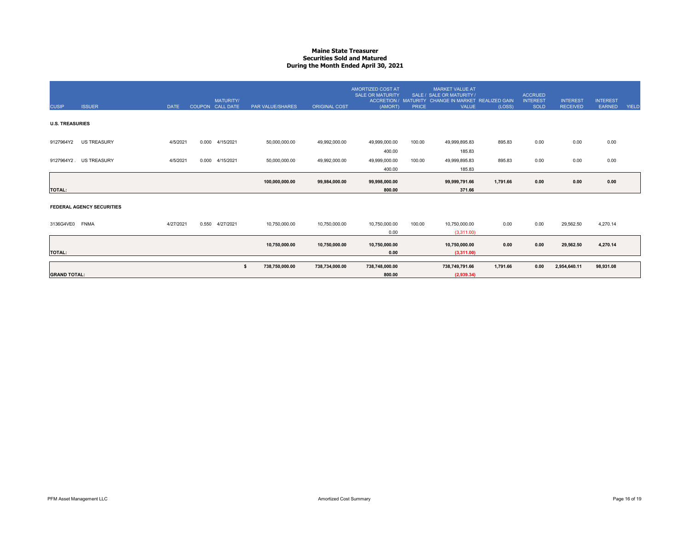## **Maine State Treasurer Securities Sold and MaturedDuring the Month Ended April 30, 2021**

| <b>CUSIP</b>           | <b>ISSUER</b>                    | <b>DATE</b> | <b>MATURITY</b><br>COUPON CALL DATE | PAR VALUE/SHARES     | <b>ORIGINAL COST</b> | <b>AMORTIZED COST AT</b><br><b>SALE OR MATURITY</b><br>(AMORT) | <b>PRICE</b> | <b>MARKET VALUE AT</b><br>SALE / SALE OR MATURITY<br>ACCRETION / MATURITY CHANGE IN MARKET REALIZED GAIN<br><b>VALUE</b> | (LOSS)   | <b>ACCRUED</b><br><b>INTEREST</b><br><b>SOLD</b> | <b>INTEREST</b><br><b>RECEIVED</b> | <b>INTEREST</b><br><b>EARNED</b> | <b>YIELD</b> |
|------------------------|----------------------------------|-------------|-------------------------------------|----------------------|----------------------|----------------------------------------------------------------|--------------|--------------------------------------------------------------------------------------------------------------------------|----------|--------------------------------------------------|------------------------------------|----------------------------------|--------------|
| <b>U.S. TREASURIES</b> |                                  |             |                                     |                      |                      |                                                                |              |                                                                                                                          |          |                                                  |                                    |                                  |              |
| 9127964Y2              | <b>US TREASURY</b>               | 4/5/2021    | 0.000<br>4/15/2021                  | 50,000,000.00        | 49,992,000.00        | 49,999,000.00<br>400.00                                        | 100.00       | 49,999,895.83<br>185.83                                                                                                  | 895.83   | 0.00                                             | 0.00                               | 0.00                             |              |
|                        | 9127964Y2. US TREASURY           | 4/5/2021    | 0.000<br>4/15/2021                  | 50,000,000.00        | 49,992,000.00        | 49,999,000.00<br>400.00                                        | 100.00       | 49,999,895.83<br>185.83                                                                                                  | 895.83   | 0.00                                             | 0.00                               | 0.00                             |              |
| <b>TOTAL:</b>          |                                  |             |                                     | 100,000,000.00       | 99,984,000.00        | 99,998,000.00<br>800.00                                        |              | 99,999,791.66<br>371.66                                                                                                  | 1,791.66 | 0.00                                             | 0.00                               | 0.00                             |              |
|                        | <b>FEDERAL AGENCY SECURITIES</b> |             |                                     |                      |                      |                                                                |              |                                                                                                                          |          |                                                  |                                    |                                  |              |
| 3136G4VE0 FNMA         |                                  | 4/27/2021   | 0.550<br>4/27/2021                  | 10,750,000.00        | 10,750,000.00        | 10,750,000.00<br>0.00                                          | 100.00       | 10,750,000.00<br>(3,311.00)                                                                                              | 0.00     | 0.00                                             | 29,562.50                          | 4,270.14                         |              |
| <b>TOTAL:</b>          |                                  |             |                                     | 10,750,000.00        | 10,750,000.00        | 10,750,000.00<br>0.00                                          |              | 10,750,000.00<br>(3,311.00)                                                                                              | 0.00     | 0.00                                             | 29,562.50                          | 4,270.14                         |              |
| <b>GRAND TOTAL:</b>    |                                  |             |                                     | 738,750,000.00<br>-S | 738,734,000.00       | 738,748,000.00<br>800.00                                       |              | 738,749,791.66<br>(2,939.34)                                                                                             | 1,791.66 | 0.00                                             | 2,954,640.11                       | 98,931.08                        |              |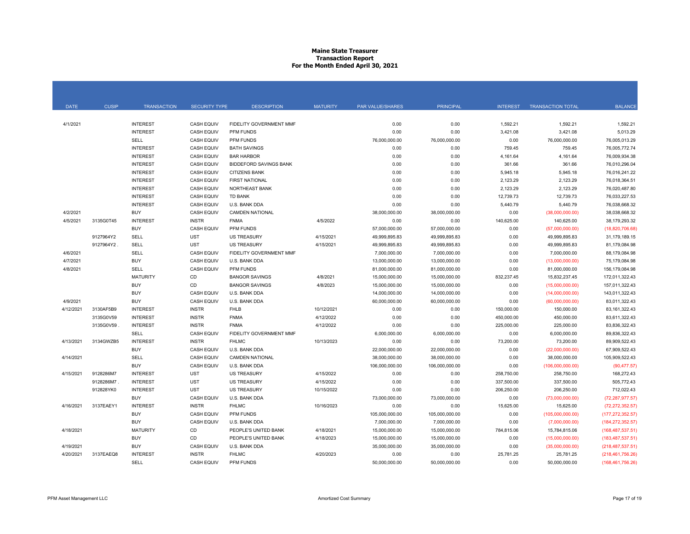## **Maine State Treasurer Transaction Report For the Month Ended April 30, 2021**

| <b>DATE</b> | <b>CUSIP</b> | <b>TRANSACTION</b> | <b>SECURITY TYPE</b> | <b>DESCRIPTION</b>            | <b>MATURITY</b> | <b>PAR VALUE/SHARES</b> | <b>PRINCIPAL</b> | <b>INTEREST</b> | <b>TRANSACTION TOTAL</b> | <b>BALANCE</b>     |
|-------------|--------------|--------------------|----------------------|-------------------------------|-----------------|-------------------------|------------------|-----------------|--------------------------|--------------------|
|             |              |                    |                      |                               |                 |                         |                  |                 |                          |                    |
| 4/1/2021    |              | <b>INTEREST</b>    | <b>CASH EQUIV</b>    | FIDELITY GOVERNMENT MMF       |                 | 0.00                    | 0.00             | 1,592.21        | 1,592.21                 | 1,592.21           |
|             |              | <b>INTEREST</b>    | <b>CASH EQUIV</b>    | PFM FUNDS                     |                 | 0.00                    | 0.00             | 3,421.08        | 3,421.08                 | 5,013.29           |
|             |              | SELL               | <b>CASH EQUIV</b>    | <b>PFM FUNDS</b>              |                 | 76,000,000.00           | 76,000,000.00    | 0.00            | 76,000,000.00            | 76,005,013.29      |
|             |              | <b>INTEREST</b>    | <b>CASH EQUIV</b>    | <b>BATH SAVINGS</b>           |                 | 0.00                    | 0.00             | 759.45          | 759.45                   | 76,005,772.74      |
|             |              | <b>INTEREST</b>    | <b>CASH EQUIV</b>    | <b>BAR HARBOR</b>             |                 | 0.00                    | 0.00             | 4,161.64        | 4,161.64                 | 76.009.934.38      |
|             |              | <b>INTEREST</b>    | <b>CASH EQUIV</b>    | <b>BIDDEFORD SAVINGS BANK</b> |                 | 0.00                    | 0.00             | 361.66          | 361.66                   | 76,010,296.04      |
|             |              | <b>INTEREST</b>    | <b>CASH EQUIV</b>    | <b>CITIZENS BANK</b>          |                 | 0.00                    | 0.00             | 5,945.18        | 5,945.18                 | 76,016,241.22      |
|             |              | <b>INTEREST</b>    | <b>CASH EQUIV</b>    | <b>FIRST NATIONAL</b>         |                 | 0.00                    | 0.00             | 2,123.29        | 2,123.29                 | 76,018,364.51      |
|             |              | <b>INTEREST</b>    | <b>CASH EQUIV</b>    | NORTHEAST BANK                |                 | 0.00                    | 0.00             | 2,123.29        | 2,123.29                 | 76,020,487.80      |
|             |              | <b>INTEREST</b>    | <b>CASH EQUIV</b>    | <b>TD BANK</b>                |                 | 0.00                    | 0.00             | 12,739.73       | 12,739.73                | 76,033,227.53      |
|             |              | <b>INTEREST</b>    | <b>CASH EQUIV</b>    | U.S. BANK DDA                 |                 | 0.00                    | 0.00             | 5,440.79        | 5,440.79                 | 76,038,668.32      |
| 4/2/2021    |              | <b>BUY</b>         | <b>CASH EQUIV</b>    | <b>CAMDEN NATIONAL</b>        |                 | 38,000,000.00           | 38,000,000.00    | 0.00            | (38,000,000.00)          | 38,038,668.32      |
| 4/5/2021    | 3135G0T45    | <b>INTEREST</b>    | <b>INSTR</b>         | <b>FNMA</b>                   | 4/5/2022        | 0.00                    | 0.00             | 140,625.00      | 140,625.00               | 38,179,293.32      |
|             |              | <b>BUY</b>         | <b>CASH EQUIV</b>    | PFM FUNDS                     |                 | 57,000,000.00           | 57,000,000.00    | 0.00            | (57,000,000.00)          | (18,820,706.68)    |
|             | 9127964Y2    | SELL               | <b>UST</b>           | <b>US TREASURY</b>            | 4/15/2021       | 49,999,895.83           | 49,999,895.83    | 0.00            | 49,999,895.83            | 31,179,189.15      |
|             | 9127964Y2.   | SELL               | <b>UST</b>           | <b>US TREASURY</b>            | 4/15/2021       | 49,999,895.83           | 49,999,895.83    | 0.00            | 49,999,895.83            | 81,179,084.98      |
| 4/6/2021    |              | SELL               | <b>CASH EQUIV</b>    | FIDELITY GOVERNMENT MMF       |                 | 7,000,000.00            | 7,000,000.00     | 0.00            | 7,000,000.00             | 88,179,084.98      |
| 4/7/2021    |              | <b>BUY</b>         | <b>CASH EQUIV</b>    | U.S. BANK DDA                 |                 | 13,000,000.00           | 13,000,000.00    | 0.00            | (13,000,000.00)          | 75,179,084.98      |
| 4/8/2021    |              | <b>SELL</b>        | <b>CASH EQUIV</b>    | PFM FUNDS                     |                 | 81,000,000.00           | 81,000,000.00    | 0.00            | 81,000,000.00            | 156,179,084.98     |
|             |              | <b>MATURITY</b>    | CD                   | <b>BANGOR SAVINGS</b>         | 4/8/2021        | 15,000,000.00           | 15,000,000.00    | 832,237.45      | 15,832,237.45            | 172,011,322.43     |
|             |              | <b>BUY</b>         | CD                   | <b>BANGOR SAVINGS</b>         | 4/8/2023        | 15,000,000.00           | 15,000,000.00    | 0.00            | (15,000,000.00)          | 157,011,322.43     |
|             |              | <b>BUY</b>         | <b>CASH EQUIV</b>    | U.S. BANK DDA                 |                 | 14,000,000.00           | 14,000,000.00    | 0.00            | (14,000,000.00)          | 143,011,322.43     |
| 4/9/2021    |              | <b>BUY</b>         | <b>CASH EQUIV</b>    | U.S. BANK DDA                 |                 | 60,000,000.00           | 60,000,000.00    | 0.00            | (60,000,000,00)          | 83,011,322.43      |
| 4/12/2021   | 3130AF5B9    | <b>INTEREST</b>    | <b>INSTR</b>         | <b>FHLB</b>                   | 10/12/2021      | 0.00                    | 0.00             | 150,000.00      | 150,000.00               | 83, 161, 322. 43   |
|             | 3135G0V59    | <b>INTEREST</b>    | <b>INSTR</b>         | <b>FNMA</b>                   | 4/12/2022       | 0.00                    | 0.00             | 450,000.00      | 450,000.00               | 83,611,322.43      |
|             | 3135G0V59    | <b>INTEREST</b>    | <b>INSTR</b>         | <b>FNMA</b>                   | 4/12/2022       | 0.00                    | 0.00             | 225,000.00      | 225,000.00               | 83,836,322.43      |
|             |              | <b>SELL</b>        | <b>CASH EQUIV</b>    | FIDELITY GOVERNMENT MMF       |                 | 6,000,000.00            | 6,000,000.00     | 0.00            | 6,000,000.00             | 89,836,322.43      |
| 4/13/2021   | 3134GWZB5    | <b>INTEREST</b>    | <b>INSTR</b>         | <b>FHLMC</b>                  | 10/13/2023      | 0.00                    | 0.00             | 73,200.00       | 73,200.00                | 89,909,522.43      |
|             |              | <b>BUY</b>         | <b>CASH EQUIV</b>    | U.S. BANK DDA                 |                 | 22,000,000.00           | 22,000,000.00    | 0.00            | (22,000,000.00)          | 67,909,522.43      |
| 4/14/2021   |              | SELL               | <b>CASH EQUIV</b>    | <b>CAMDEN NATIONAL</b>        |                 | 38,000,000.00           | 38,000,000.00    | 0.00            | 38,000,000.00            | 105,909,522.43     |
|             |              | <b>BUY</b>         | <b>CASH EQUIV</b>    | U.S. BANK DDA                 |                 | 106,000,000.00          | 106,000,000.00   | 0.00            | (106,000,000.00)         | (90, 477.57)       |
| 4/15/2021   | 9128286M7    | <b>INTEREST</b>    | UST                  | <b>US TREASURY</b>            | 4/15/2022       | 0.00                    | 0.00             | 258,750.00      | 258,750.00               | 168,272.43         |
|             | 9128286M7    | <b>INTEREST</b>    | UST                  | <b>US TREASURY</b>            | 4/15/2022       | 0.00                    | 0.00             | 337,500.00      | 337,500.00               | 505,772.43         |
|             | 912828YK0    | <b>INTEREST</b>    | <b>UST</b>           | <b>US TREASURY</b>            | 10/15/2022      | 0.00                    | 0.00             | 206,250.00      | 206,250.00               | 712,022.43         |
|             |              | <b>BUY</b>         | <b>CASH EQUIV</b>    | U.S. BANK DDA                 |                 | 73,000,000.00           | 73,000,000.00    | 0.00            | (73,000,000.00)          | (72, 287, 977, 57) |
| 4/16/2021   | 3137EAEY1    | <b>INTEREST</b>    | <b>INSTR</b>         | <b>FHLMC</b>                  | 10/16/2023      | 0.00                    | 0.00             | 15,625.00       | 15,625.00                | (72, 272, 352.57)  |
|             |              | <b>BUY</b>         | <b>CASH EQUIV</b>    | PFM FUNDS                     |                 | 105,000,000.00          | 105,000,000.00   | 0.00            | (105,000,000.00)         | (177, 272, 352.57) |
|             |              | <b>BUY</b>         | <b>CASH EQUIV</b>    | U.S. BANK DDA                 |                 | 7,000,000.00            | 7,000,000.00     | 0.00            | (7,000,000.00)           | (184, 272, 352.57) |
| 4/18/2021   |              | <b>MATURITY</b>    | CD                   | PEOPLE'S UNITED BANK          | 4/18/2021       | 15,000,000.00           | 15,000,000.00    | 784,815.06      | 15,784,815.06            | (168, 487, 537.51) |
|             |              | <b>BUY</b>         | CD                   | PEOPLE'S UNITED BANK          | 4/18/2023       | 15,000,000.00           | 15,000,000.00    | 0.00            | (15,000,000.00)          | (183, 487, 537.51) |
| 4/19/2021   |              | <b>BUY</b>         | <b>CASH EQUIV</b>    | U.S. BANK DDA                 |                 | 35,000,000.00           | 35,000,000.00    | 0.00            | (35,000,000.00)          | (218, 487, 537.51) |
| 4/20/2021   | 3137EAEQ8    | <b>INTEREST</b>    | <b>INSTR</b>         | <b>FHLMC</b>                  | 4/20/2023       | 0.00                    | 0.00             | 25,781.25       | 25,781.25                | (218, 461, 756.26) |
|             |              | SELL               | <b>CASH EQUIV</b>    | PFM FUNDS                     |                 | 50,000,000.00           | 50,000,000.00    | 0.00            | 50,000,000.00            | (168, 461, 756.26) |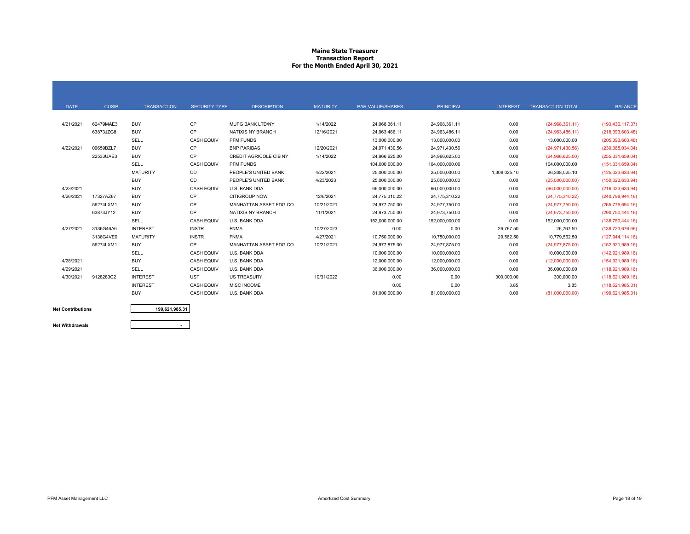## **Maine State Treasurer Transaction Report For the Month Ended April 30, 2021**

| <b>DATE</b> | <b>CUSIP</b> | <b>TRANSACTION</b> | <b>SECURITY TYPE</b> | <b>DESCRIPTION</b>            | <b>MATURITY</b> | <b>PAR VALUE/SHARES</b> | <b>PRINCIPAL</b> | <b>INTEREST</b> | <b>TRANSACTION TOTAL</b> | <b>BALANCE</b>      |
|-------------|--------------|--------------------|----------------------|-------------------------------|-----------------|-------------------------|------------------|-----------------|--------------------------|---------------------|
|             |              |                    |                      |                               |                 |                         |                  |                 |                          |                     |
| 4/21/2021   | 62479MAE3    | <b>BUY</b>         | <b>CP</b>            | <b>MUFG BANK LTD/NY</b>       | 1/14/2022       | 24,968,361.11           | 24,968,361.11    | 0.00            | (24,968,361.11)          | (193, 430, 117.37)  |
|             | 63873JZG8    | <b>BUY</b>         | CP                   | NATIXIS NY BRANCH             | 12/16/2021      | 24.963.486.11           | 24.963.486.11    | 0.00            | (24,963,486.11)          | (218, 393, 603.48)  |
|             |              | SELL               | <b>CASH EQUIV</b>    | PFM FUNDS                     |                 | 13,000,000.00           | 13,000,000.00    | 0.00            | 13,000,000.00            | (205, 393, 603.48)  |
| 4/22/2021   | 09659BZL7    | <b>BUY</b>         | <b>CP</b>            | <b>BNP PARIBAS</b>            | 12/20/2021      | 24,971,430.56           | 24,971,430.56    | 0.00            | (24, 971, 430.56)        | (230, 365, 034.04)  |
|             | 22533UAE3    | <b>BUY</b>         | CP                   | <b>CREDIT AGRICOLE CIB NY</b> | 1/14/2022       | 24,966,625.00           | 24.966.625.00    | 0.00            | (24,966,625.00)          | (255, 331, 659.04)  |
|             |              | SELL               | <b>CASH EQUIV</b>    | PFM FUNDS                     |                 | 104,000,000.00          | 104,000,000.00   | 0.00            | 104,000,000.00           | (151, 331, 659.04)  |
|             |              | <b>MATURITY</b>    | CD                   | PEOPLE'S UNITED BANK          | 4/22/2021       | 25,000,000.00           | 25,000,000.00    | 1,308,025.10    | 26,308,025.10            | (125, 023, 633.94)  |
|             |              | <b>BUY</b>         | CD                   | PEOPLE'S UNITED BANK          | 4/23/2023       | 25,000,000.00           | 25,000,000.00    | 0.00            | (25,000,000.00)          | (150,023,633.94)    |
| 4/23/2021   |              | <b>BUY</b>         | <b>CASH EQUIV</b>    | U.S. BANK DDA                 |                 | 66,000,000.00           | 66,000,000.00    | 0.00            | (66,000,000.00)          | (216,023,633.94)    |
| 4/26/2021   | 17327AZ67    | <b>BUY</b>         | CP                   | <b>CITIGROUP NOW</b>          | 12/6/2021       | 24,775,310.22           | 24,775,310.22    | 0.00            | (24, 775, 310.22)        | (240, 798, 944, 16) |
|             | 56274LXM1    | <b>BUY</b>         | CP                   | MANHATTAN ASSET FDG CO        | 10/21/2021      | 24,977,750.00           | 24,977,750.00    | 0.00            | (24, 977, 750.00)        | (265,776,694.16)    |
|             | 63873JY12    | <b>BUY</b>         | CP                   | NATIXIS NY BRANCH             | 11/1/2021       | 24,973,750.00           | 24,973,750.00    | 0.00            | (24, 973, 750.00)        | (290, 750, 444.16)  |
|             |              | SELL               | <b>CASH EQUIV</b>    | U.S. BANK DDA                 |                 | 152,000,000.00          | 152.000.000.00   | 0.00            | 152.000.000.00           | (138,750,444.16)    |
| 4/27/2021   | 3136G46A6    | <b>INTEREST</b>    | <b>INSTR</b>         | <b>FNMA</b>                   | 10/27/2023      | 0.00                    | 0.00             | 26,767.50       | 26,767.50                | (138, 723, 676.66)  |
|             | 3136G4VE0    | <b>MATURITY</b>    | <b>INSTR</b>         | <b>FNMA</b>                   | 4/27/2021       | 10,750,000.00           | 10,750,000.00    | 29,562.50       | 10,779,562.50            | (127, 944, 114, 16) |
|             | 56274LXM1    | <b>BUY</b>         | CP                   | MANHATTAN ASSET FDG CO        | 10/21/2021      | 24.977.875.00           | 24.977.875.00    | 0.00            | (24, 977, 875.00)        | (152, 921, 989.16)  |
|             |              | SELL               | <b>CASH EQUIV</b>    | U.S. BANK DDA                 |                 | 10,000,000.00           | 10,000,000.00    | 0.00            | 10,000,000.00            | (142, 921, 989.16)  |
| 4/28/2021   |              | <b>BUY</b>         | <b>CASH EQUIV</b>    | U.S. BANK DDA                 |                 | 12,000,000.00           | 12,000,000.00    | 0.00            | (12,000,000.00)          | (154, 921, 989.16)  |
| 4/29/2021   |              | SELL               | <b>CASH EQUIV</b>    | U.S. BANK DDA                 |                 | 36,000,000.00           | 36,000,000.00    | 0.00            | 36,000,000.00            | (118,921,989.16)    |
| 4/30/2021   | 9128283C2    | <b>INTEREST</b>    | <b>UST</b>           | <b>US TREASURY</b>            | 10/31/2022      | 0.00                    | 0.00             | 300,000.00      | 300,000.00               | (118,621,989.16)    |
|             |              | <b>INTEREST</b>    | <b>CASH EQUIV</b>    | <b>MISC INCOME</b>            |                 | 0.00                    | 0.00             | 3.85            | 3.85                     | (118, 621, 985.31)  |
|             |              | <b>BUY</b>         | <b>CASH EQUIV</b>    | U.S. BANK DDA                 |                 | 81,000,000.00           | 81,000,000.00    | 0.00            | (81,000,000.00)          | (199, 621, 985.31)  |

**Net Contributions**

**199,621,985.31**

**Net Withdrawals**

**-**

PFM Asset Management LLC **Example 2008** Cost Summary Page 18 of 19<br>
Amortized Cost Summary Page 18 of 19